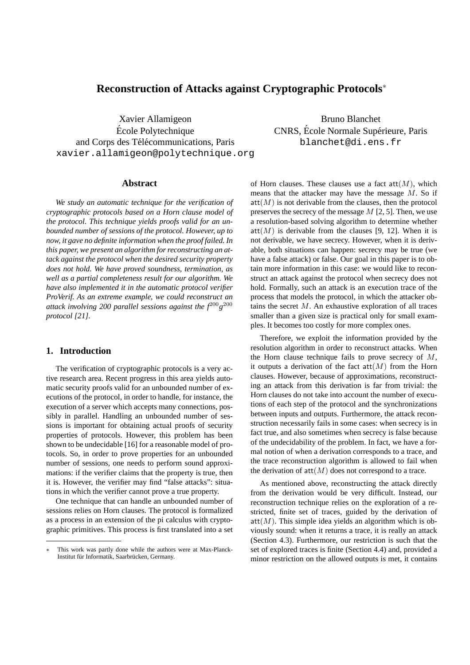# **Reconstruction of Attacks against Cryptographic Protocols**<sup>∗</sup>

Xavier Allamigeon Ecole Polytechnique ´ and Corps des Télécommunications, Paris xavier.allamigeon@polytechnique.org

Bruno Blanchet CNRS, École Normale Supérieure, Paris blanchet@di.ens.fr

# **Abstract**

*We study an automatic technique for the verification of cryptographic protocols based on a Horn clause model of the protocol. This technique yields proofs valid for an unbounded number of sessions of the protocol. However, up to now, it gave no definite information when the proof failed. In this paper, we present an algorithm for reconstructing an attack against the protocol when the desired security property does not hold. We have proved soundness, termination, as well as a partial completeness result for our algorithm. We have also implemented it in the automatic protocol verifier ProVerif. As an extreme example, we could reconstruct an attack involving 200 parallel sessions against the f*<sup>200</sup>*g* 200 *protocol [21].*

# **1. Introduction**

The verification of cryptographic protocols is a very active research area. Recent progress in this area yields automatic security proofs valid for an unbounded number of executions of the protocol, in order to handle, for instance, the execution of a server which accepts many connections, possibly in parallel. Handling an unbounded number of sessions is important for obtaining actual proofs of security properties of protocols. However, this problem has been shown to be undecidable [16] for a reasonable model of protocols. So, in order to prove properties for an unbounded number of sessions, one needs to perform sound approximations: if the verifier claims that the property is true, then it is. However, the verifier may find "false attacks": situations in which the verifier cannot prove a true property.

One technique that can handle an unbounded number of sessions relies on Horn clauses. The protocol is formalized as a process in an extension of the pi calculus with cryptographic primitives. This process is first translated into a set

of Horn clauses. These clauses use a fact  $att(M)$ , which means that the attacker may have the message  $M$ . So if  $\text{att}(M)$  is not derivable from the clauses, then the protocol preserves the secrecy of the message  $M$  [2, 5]. Then, we use a resolution-based solving algorithm to determine whether  $\text{att}(M)$  is derivable from the clauses [9, 12]. When it is not derivable, we have secrecy. However, when it is derivable, both situations can happen: secrecy may be true (we have a false attack) or false. Our goal in this paper is to obtain more information in this case: we would like to reconstruct an attack against the protocol when secrecy does not hold. Formally, such an attack is an execution trace of the process that models the protocol, in which the attacker obtains the secret  $M$ . An exhaustive exploration of all traces smaller than a given size is practical only for small examples. It becomes too costly for more complex ones.

Therefore, we exploit the information provided by the resolution algorithm in order to reconstruct attacks. When the Horn clause technique fails to prove secrecy of  $M$ , it outputs a derivation of the fact  $att(M)$  from the Horn clauses. However, because of approximations, reconstructing an attack from this derivation is far from trivial: the Horn clauses do not take into account the number of executions of each step of the protocol and the synchronizations between inputs and outputs. Furthermore, the attack reconstruction necessarily fails in some cases: when secrecy is in fact true, and also sometimes when secrecy is false because of the undecidability of the problem. In fact, we have a formal notion of when a derivation corresponds to a trace, and the trace reconstruction algorithm is allowed to fail when the derivation of  $att(M)$  does not correspond to a trace.

As mentioned above, reconstructing the attack directly from the derivation would be very difficult. Instead, our reconstruction technique relies on the exploration of a restricted, finite set of traces, guided by the derivation of  $att(M)$ . This simple idea yields an algorithm which is obviously sound: when it returns a trace, it is really an attack (Section 4.3). Furthermore, our restriction is such that the set of explored traces is finite (Section 4.4) and, provided a minor restriction on the allowed outputs is met, it contains

This work was partly done while the authors were at Max-Planck-Institut für Informatik, Saarbrücken, Germany.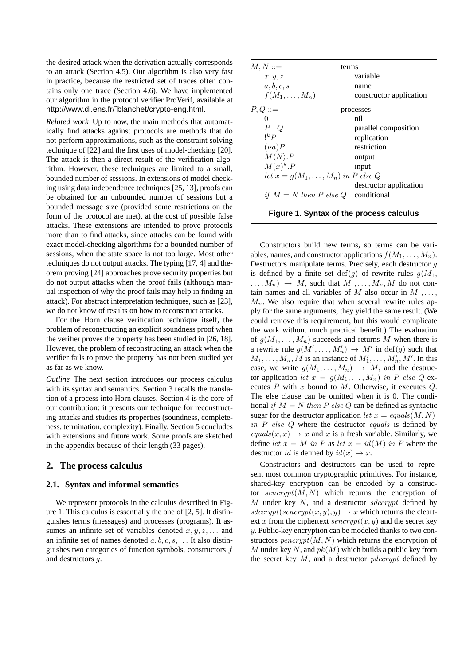the desired attack when the derivation actually corresponds to an attack (Section 4.5). Our algorithm is also very fast in practice, because the restricted set of traces often contains only one trace (Section 4.6). We have implemented our algorithm in the protocol verifier ProVerif, available at http://www.di.ens.fr/˜blanchet/crypto-eng.html.

*Related work* Up to now, the main methods that automatically find attacks against protocols are methods that do not perform approximations, such as the constraint solving technique of [22] and the first uses of model-checking [20]. The attack is then a direct result of the verification algorithm. However, these techniques are limited to a small, bounded number of sessions. In extensions of model checking using data independence techniques [25, 13], proofs can be obtained for an unbounded number of sessions but a bounded message size (provided some restrictions on the form of the protocol are met), at the cost of possible false attacks. These extensions are intended to prove protocols more than to find attacks, since attacks can be found with exact model-checking algorithms for a bounded number of sessions, when the state space is not too large. Most other techniques do not output attacks. The typing [17, 4] and theorem proving [24] approaches prove security properties but do not output attacks when the proof fails (although manual inspection of why the proof fails may help in finding an attack). For abstract interpretation techniques, such as [23], we do not know of results on how to reconstruct attacks.

For the Horn clause verification technique itself, the problem of reconstructing an explicit soundness proof when the verifier proves the property has been studied in [26, 18]. However, the problem of reconstructing an attack when the verifier fails to prove the property has not been studied yet as far as we know.

*Outline* The next section introduces our process calculus with its syntax and semantics. Section 3 recalls the translation of a process into Horn clauses. Section 4 is the core of our contribution: it presents our technique for reconstructing attacks and studies its properties (soundness, completeness, termination, complexity). Finally, Section 5 concludes with extensions and future work. Some proofs are sketched in the appendix because of their length (33 pages).

# **2. The process calculus**

## **2.1. Syntax and informal semantics**

We represent protocols in the calculus described in Figure 1. This calculus is essentially the one of [2, 5]. It distinguishes terms (messages) and processes (programs). It assumes an infinite set of variables denoted  $x, y, z, \ldots$  and an infinite set of names denoted  $a, b, c, s, \ldots$  It also distinguishes two categories of function symbols, constructors f and destructors g.

| $M, N ::=$                                | terms                   |
|-------------------------------------------|-------------------------|
| x, y, z                                   | variable                |
| a, b, c, s                                | name                    |
| $f(M_1,\ldots,M_n)$                       | constructor application |
| $P,Q ::=$                                 | processes               |
| $\Omega$                                  | nil                     |
| $P \mid Q$                                | parallel composition    |
| $\mathsf{I}^k P$                          | replication             |
| $(\nu a)P$                                | restriction             |
| $\overline{M}\langle N\rangle.P$          | output                  |
| $M(x)^k.P$                                | input                   |
| let $x = g(M_1, \ldots, M_n)$ in P else Q |                         |
|                                           | destructor application  |
| if $M = N$ then P else Q                  | conditional             |

**Figure 1. Syntax of the process calculus**

Constructors build new terms, so terms can be variables, names, and constructor applications  $f(M_1, \ldots, M_n)$ . Destructors manipulate terms. Precisely, each destructor g is defined by a finite set  $\text{def}(q)$  of rewrite rules  $q(M_1,$  $\ldots$ ,  $M_n$ )  $\rightarrow$  M, such that  $M_1, \ldots, M_n, M$  do not contain names and all variables of M also occur in  $M_1, \ldots$ ,  $M_n$ . We also require that when several rewrite rules apply for the same arguments, they yield the same result. (We could remove this requirement, but this would complicate the work without much practical benefit.) The evaluation of  $g(M_1, \ldots, M_n)$  succeeds and returns M when there is a rewrite rule  $g(M'_1, \ldots, M'_n) \to M'$  in  $\text{def}(g)$  such that  $M_1, \ldots, M_n, M$  is an instance of  $M'_1, \ldots, M'_n, M'$ . In this case, we write  $g(M_1, \ldots, M_n) \rightarrow M$ , and the destructor application let  $x = g(M_1, \ldots, M_n)$  in P else Q executes  $P$  with  $x$  bound to  $M$ . Otherwise, it executes  $Q$ . The else clause can be omitted when it is 0. The conditional if  $M = N$  then P else Q can be defined as syntactic sugar for the destructor application let  $x = equals(M, N)$ in  $P$  else  $Q$  where the destructor equals is defined by  $equals(x, x) \rightarrow x$  and x is a fresh variable. Similarly, we define let  $x = M$  in P as let  $x = id(M)$  in P where the destructor *id* is defined by  $id(x) \rightarrow x$ .

Constructors and destructors can be used to represent most common cryptographic primitives. For instance, shared-key encryption can be encoded by a constructor  $s\text{.}$  sencrypt $(M, N)$  which returns the encryption of  $M$  under key  $N$ , and a destructor sdecrypt defined by  $sdecrypt(sencypt(x, y), y) \rightarrow x$  which returns the cleartext x from the ciphertext  $\text{serverypt}(x, y)$  and the secret key y. Public-key encryption can be modeled thanks to two constructors  $p\text{ *energy*}$   $(M, N)$  which returns the encryption of M under key N, and  $pk(M)$  which builds a public key from the secret key  $M$ , and a destructor *pdecrypt* defined by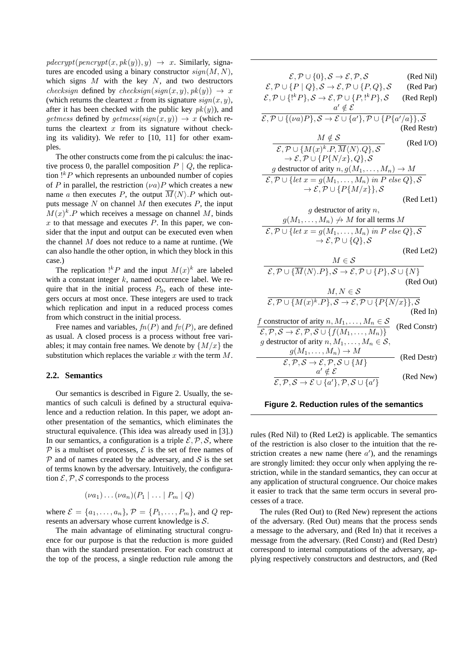$pdecrypt(pencrypt(x, pk(y)), y) \rightarrow x$ . Similarly, signatures are encoded using a binary constructor  $sign(M, N)$ , which signs  $M$  with the key  $N$ , and two destructors checksign defined by checksign(sign(x, y),  $pk(y)$ )  $\rightarrow x$ (which returns the cleartext x from its signature  $sign(x, y)$ , after it has been checked with the public key  $pk(y)$ ), and getmess defined by getmess(sign(x, y))  $\rightarrow x$  (which returns the cleartext  $x$  from its signature without checking its validity). We refer to [10, 11] for other examples.

The other constructs come from the pi calculus: the inactive process 0, the parallel composition  $P \mid Q$ , the replication  $!{}^kP$  which represents an unbounded number of copies of P in parallel, the restriction  $(\nu a)P$  which creates a new name a then executes P, the output  $\overline{M}\langle N\rangle$ . P which outputs message  $N$  on channel  $M$  then executes  $P$ , the input  $M(x)^k$ . P which receives a message on channel M, binds  $x$  to that message and executes  $P$ . In this paper, we consider that the input and output can be executed even when the channel  $M$  does not reduce to a name at runtime. (We can also handle the other option, in which they block in this case.)

The replication !<sup>k</sup> P and the input  $M(x)^k$  are labeled with a constant integer  $k$ , named occurrence label. We require that in the initial process  $P_0$ , each of these integers occurs at most once. These integers are used to track which replication and input in a reduced process comes from which construct in the initial process.

Free names and variables,  $fn(P)$  and  $fv(P)$ , are defined as usual. A closed process is a process without free variables; it may contain free names. We denote by  $\{M/x\}$  the substitution which replaces the variable  $x$  with the term  $M$ .

## **2.2. Semantics**

Our semantics is described in Figure 2. Usually, the semantics of such calculi is defined by a structural equivalence and a reduction relation. In this paper, we adopt another presentation of the semantics, which eliminates the structural equivalence. (This idea was already used in [3].) In our semantics, a configuration is a triple  $\mathcal{E}, \mathcal{P}, \mathcal{S}$ , where P is a multiset of processes,  $\mathcal E$  is the set of free names of  $P$  and of names created by the adversary, and  $S$  is the set of terms known by the adversary. Intuitively, the configuration  $\mathcal{E}, \mathcal{P}, \mathcal{S}$  corresponds to the process

$$
(\nu a_1)\ldots(\nu a_n)(P_1|\ldots|P_m|Q)
$$

where  $\mathcal{E} = \{a_1, \ldots, a_n\}, \mathcal{P} = \{P_1, \ldots, P_m\}$ , and Q represents an adversary whose current knowledge is S.

The main advantage of eliminating structural congruence for our purpose is that the reduction is more guided than with the standard presentation. For each construct at the top of the process, a single reduction rule among the

| $\mathcal{E}, \mathcal{P} \cup \{0\}, \mathcal{S} \rightarrow \mathcal{E}, \mathcal{P}, \mathcal{S}$                                                                                                 | (Red Nil)    |  |
|------------------------------------------------------------------------------------------------------------------------------------------------------------------------------------------------------|--------------|--|
| $\mathcal{E}, \mathcal{P} \cup \{P \mid Q\}, \mathcal{S} \rightarrow \mathcal{E}, \mathcal{P} \cup \{P, Q\}, \mathcal{S}$                                                                            | (Red Par)    |  |
| $\mathcal{E}, \mathcal{P} \cup \{!^k P\}, \mathcal{S} \to \mathcal{E}, \mathcal{P} \cup \{P, !^k P\}, \mathcal{S}$                                                                                   | (Red Repl)   |  |
| $a' \notin \mathcal{E}$                                                                                                                                                                              |              |  |
| $\mathcal{E}, \mathcal{P} \cup \{(\nu a)P\}, \mathcal{S} \to \mathcal{E} \cup \{a'\}, \mathcal{P} \cup \{P\{a'/a\}\}, \mathcal{S}$                                                                   |              |  |
|                                                                                                                                                                                                      | (Red Restr)  |  |
| $M \notin \mathcal{S}$                                                                                                                                                                               | (Red I/O)    |  |
| $\overline{\mathcal{E}, \mathcal{P}} \cup \{M(x)^k.P, \overline{M}\langle N\rangle.Q\},\mathcal{S}$                                                                                                  |              |  |
| $\rightarrow \mathcal{E}, \mathcal{P} \cup \{P\{N/x\}, Q\}, \mathcal{S}$                                                                                                                             |              |  |
| g destructor of arity $n, g(M_1, \ldots, M_n) \to M$                                                                                                                                                 |              |  |
| $\mathcal{E}, \mathcal{P} \cup \{let\ x = g(M_1, \ldots, M_n) \ in\ P\ else\ Q\}, \mathcal{S}$                                                                                                       |              |  |
| $\rightarrow \mathcal{E}, \mathcal{P} \cup \{P\{M/x\}\}\$ , S                                                                                                                                        |              |  |
|                                                                                                                                                                                                      | (Red Let1)   |  |
| $g$ destructor of arity $n$ ,                                                                                                                                                                        |              |  |
| $g(M_1,\ldots,M_n)\not\to M$ for all terms $M$                                                                                                                                                       |              |  |
| $\mathcal{E}, \mathcal{P} \cup \{let\ x = g(M_1, \ldots, M_n) \ in\ P\ else\ Q\}, \mathcal{S}$                                                                                                       |              |  |
| $\rightarrow \mathcal{E}, \mathcal{P} \cup \{Q\}, \mathcal{S}$                                                                                                                                       |              |  |
|                                                                                                                                                                                                      | (Red Let2)   |  |
| $M \in \mathcal{S}$                                                                                                                                                                                  |              |  |
| $\mathcal{E}, \mathcal{P} \cup {\overline{M}} \langle N \rangle.P\}, \mathcal{S} \to \mathcal{E}, \mathcal{P} \cup \{P\}, \mathcal{S} \cup \{N\}$                                                    |              |  |
|                                                                                                                                                                                                      | (Red Out)    |  |
| $M, N \in \mathcal{S}$                                                                                                                                                                               |              |  |
| $\overline{\mathcal{E}, \mathcal{P} \cup \{M(x)^k.P\}, \mathcal{S} \to \mathcal{E}, \mathcal{P} \cup \{P\{N/x\}\}, \mathcal{S}}$                                                                     |              |  |
|                                                                                                                                                                                                      | (Red In)     |  |
| f constructor of arity $n, M_1, \ldots, M_n \in \mathcal{S}$<br>$\mathcal{E}, \mathcal{P}, \overline{\mathcal{S} \to \mathcal{E}, \mathcal{P}}, \overline{\mathcal{S} \cup \{f(M_1, \ldots, M_n)\}}$ | (Red Constr) |  |
| g destructor of arity $n, M_1, \ldots, M_n \in \mathcal{S}$ ,                                                                                                                                        |              |  |
| $g(M_1,\ldots,M_n)\to M$                                                                                                                                                                             |              |  |
| $\mathcal{E}, \mathcal{P}, \mathcal{S} \to \mathcal{E}, \mathcal{P}, \mathcal{S} \cup \{M\}$                                                                                                         | (Red Destr)  |  |
| $a' \notin \mathcal{E}$                                                                                                                                                                              | (Red New)    |  |
| $\mathcal{E}, \mathcal{P}, \mathcal{S} \to \mathcal{E} \cup \{a'\}, \mathcal{P}, \mathcal{S} \cup \{a'\}$                                                                                            |              |  |

#### **Figure 2. Reduction rules of the semantics**

rules (Red Nil) to (Red Let2) is applicable. The semantics of the restriction is also closer to the intuition that the restriction creates a new name (here  $a'$ ), and the renamings are strongly limited: they occur only when applying the restriction, while in the standard semantics, they can occur at any application of structural congruence. Our choice makes it easier to track that the same term occurs in several processes of a trace.

The rules (Red Out) to (Red New) represent the actions of the adversary. (Red Out) means that the process sends a message to the adversary, and (Red In) that it receives a message from the adversary. (Red Constr) and (Red Destr) correspond to internal computations of the adversary, applying respectively constructors and destructors, and (Red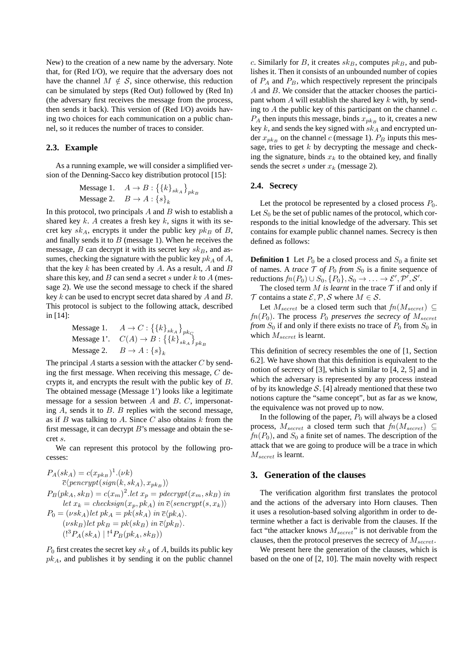New) to the creation of a new name by the adversary. Note that, for (Red I/O), we require that the adversary does not have the channel  $M \notin S$ , since otherwise, this reduction can be simulated by steps (Red Out) followed by (Red In) (the adversary first receives the message from the process, then sends it back). This version of (Red I/O) avoids having two choices for each communication on a public channel, so it reduces the number of traces to consider.

## **2.3. Example**

As a running example, we will consider a simplified version of the Denning-Sacco key distribution protocol [15]:

$$
\begin{aligned} \text{Message 1.} \quad A \to B: \left\{ \{k\}_{sk_A} \right\}_{pk_B} \\ \text{Message 2.} \quad B \to A: \left\{ s \right\}_k \end{aligned}
$$

In this protocol, two principals  $A$  and  $B$  wish to establish a shared key k. A creates a fresh key k, signs it with its secret key  $sk_A$ , encrypts it under the public key  $pk_B$  of B, and finally sends it to  $B$  (message 1). When he receives the message,  $B$  can decrypt it with its secret key  $sk_B$ , and assumes, checking the signature with the public key  $pk_A$  of A, that the key  $k$  has been created by  $A$ . As a result,  $A$  and  $B$ share this key, and  $B$  can send a secret s under  $k$  to  $A$  (message 2). We use the second message to check if the shared key k can be used to encrypt secret data shared by A and B. This protocol is subject to the following attack, described in [14]:

$$
\begin{array}{ll} \mbox{Message 1.} & A \rightarrow C : \left\{ \left\{ k \right\}_{sk_A} \right\}_{pk_C} \\ \mbox{Message 1'.} & C(A) \rightarrow B : \left\{ \left\{ k \right\}_{sk_A} \right\}_{pk_B} \\ \mbox{Message 2.} & B \rightarrow A : \left\{ s \right\}_k \end{array}
$$

The principal  $A$  starts a session with the attacker  $C$  by sending the first message. When receiving this message,  $C$  decrypts it, and encrypts the result with the public key of B. The obtained message (Message 1') looks like a legitimate message for a session between A and B. C, impersonating  $A$ , sends it to  $B$ .  $B$  replies with the second message, as if  $B$  was talking to  $A$ . Since  $C$  also obtains  $k$  from the first message, it can decrypt  $B$ 's message and obtain the secret s.

We can represent this protocol by the following processes:

$$
P_A(sk_A) = c(x_{pk_B})^1.(\nu k)
$$
  
\n
$$
\overline{c}\langle \text{pencrypt}(\text{sign}(k, sk_A), x_{pk_B}) \rangle
$$
  
\n
$$
P_B(\text{pk}_A, sk_B) = c(x_m)^2.\text{let } x_p = \text{pdecrypt}(x_m, sk_B) \text{ in}
$$
  
\nlet  $x_k = \text{checksign}(x_p, pk_A) \text{ in } \overline{c}\langle \text{sencrypt}(s, x_k) \rangle$   
\n
$$
P_0 = (\nu sk_A) \text{let } pk_A = \text{pk}(sk_A) \text{ in } \overline{c}\langle pk_A \rangle.
$$
  
\n
$$
(\nu sk_B) \text{let } pk_B = \text{pk}(sk_B) \text{ in } \overline{c}\langle pk_B \rangle.
$$
  
\n
$$
(\overline{C}^3 P_A(sk_A) | \overline{C}^4 P_B(pk_A, sk_B))
$$

 $P_0$  first creates the secret key  $sk_A$  of A, builds its public key  $pk_A$ , and publishes it by sending it on the public channel c. Similarly for B, it creates  $sk_B$ , computes  $pk_B$ , and publishes it. Then it consists of an unbounded number of copies of  $P_A$  and  $P_B$ , which respectively represent the principals A and B. We consider that the attacker chooses the participant whom  $A$  will establish the shared key  $k$  with, by sending to  $A$  the public key of this participant on the channel  $c$ .  $P_A$  then inputs this message, binds  $x_{p k_B}$  to it, creates a new key  $k$ , and sends the key signed with  $sk_A$  and encrypted under  $x_{p,k_B}$  on the channel c (message 1).  $P_B$  inputs this message, tries to get  $k$  by decrypting the message and checking the signature, binds  $x_k$  to the obtained key, and finally sends the secret s under  $x_k$  (message 2).

## **2.4. Secrecy**

Let the protocol be represented by a closed process  $P_0$ . Let  $S_0$  be the set of public names of the protocol, which corresponds to the initial knowledge of the adversary. This set contains for example public channel names. Secrecy is then defined as follows:

**Definition 1** Let  $P_0$  be a closed process and  $S_0$  a finite set of names. A *trace*  $\mathcal T$  *of*  $P_0$  *from*  $S_0$  is a finite sequence of reductions  $fn(P_0) \cup S_0, \{P_0\}, S_0 \rightarrow \ldots \rightarrow \mathcal{E}', \mathcal{P}', \mathcal{S}'.$ 

The closed term  $M$  *is learnt* in the trace  $T$  if and only if T contains a state  $\mathcal{E}, \mathcal{P}, \mathcal{S}$  where  $M \in \mathcal{S}$ .

Let  $M_{secret}$  be a closed term such that  $fn(M_{secret}) \subseteq$  $fn(P_0)$ . The process  $P_0$  preserves the secrecy of  $M_{secret}$ *from*  $S_0$  if and only if there exists no trace of  $P_0$  from  $S_0$  in which  $M_{secret}$  is learnt.

This definition of secrecy resembles the one of [1, Section 6.2]. We have shown that this definition is equivalent to the notion of secrecy of [3], which is similar to [4, 2, 5] and in which the adversary is represented by any process instead of by its knowledge  $S$ . [4] already mentioned that these two notions capture the "same concept", but as far as we know, the equivalence was not proved up to now.

In the following of the paper,  $P_0$  will always be a closed process,  $M_{secret}$  a closed term such that  $fn(M_{secret}) \subseteq$  $fn(P_0)$ , and  $S_0$  a finite set of names. The description of the attack that we are going to produce will be a trace in which  $M_{secret}$  is learnt.

## **3. Generation of the clauses**

The verification algorithm first translates the protocol and the actions of the adversary into Horn clauses. Then it uses a resolution-based solving algorithm in order to determine whether a fact is derivable from the clauses. If the fact "the attacker knows  $M_{secret}$ " is not derivable from the clauses, then the protocol preserves the secrecy of  $M_{secret}$ .

We present here the generation of the clauses, which is based on the one of [2, 10]. The main novelty with respect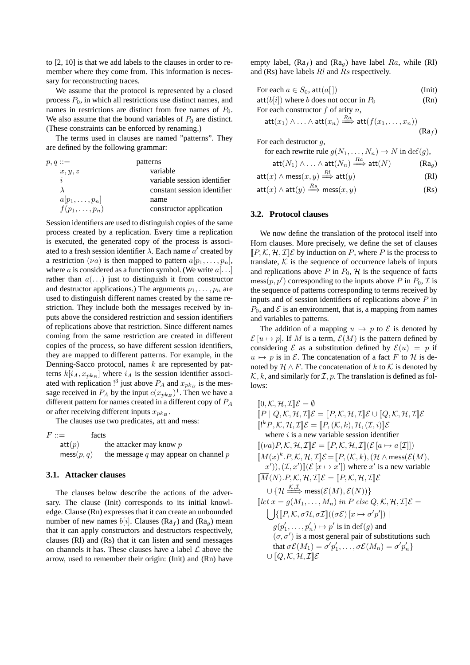to [2, 10] is that we add labels to the clauses in order to remember where they come from. This information is necessary for reconstructing traces.

We assume that the protocol is represented by a closed process  $P_0$ , in which all restrictions use distinct names, and names in restrictions are distinct from free names of  $P_0$ . We also assume that the bound variables of  $P_0$  are distinct. (These constraints can be enforced by renaming.)

The terms used in clauses are named "patterns". They are defined by the following grammar:

| $p, q ::=$          | patterns                    |
|---------------------|-----------------------------|
| x, y, z             | variable                    |
| i                   | variable session identifier |
|                     | constant session identifier |
| $a[p_1,\ldots,p_n]$ | name                        |
| $f(p_1,\ldots,p_n)$ | constructor application     |

Session identifiers are used to distinguish copies of the same process created by a replication. Every time a replication is executed, the generated copy of the process is associated to a fresh session identifier  $\lambda$ . Each name  $a'$  created by a restriction ( $\nu a$ ) is then mapped to pattern  $a[p_1, \ldots, p_n]$ , where a is considered as a function symbol. (We write  $a[\ldots]$ rather than  $a(\ldots)$  just to distinguish it from constructor and destructor applications.) The arguments  $p_1, \ldots, p_n$  are used to distinguish different names created by the same restriction. They include both the messages received by inputs above the considered restriction and session identifiers of replications above that restriction. Since different names coming from the same restriction are created in different copies of the process, so have different session identifiers, they are mapped to different patterns. For example, in the Denning-Sacco protocol, names  $k$  are represented by patterns  $k[i_A, x_{pk_B}]$  where  $i_A$  is the session identifier associated with replication <sup>13</sup> just above  $P_A$  and  $x_{pk_B}$  is the message received in  $P_A$  by the input  $c(x_{pk_B})^1$ . Then we have a different pattern for names created in a different copy of  $P_A$ or after receiving different inputs  $x_{p_k}$ .

The clauses use two predicates, att and mess:

 $F ::=$  facts  $\text{att}(p)$  the attacker may know p  $\text{mess}(p, q)$  the message q may appear on channel p

## **3.1. Attacker clauses**

The clauses below describe the actions of the adversary. The clause (Init) corresponds to its initial knowledge. Clause (Rn) expresses that it can create an unbounded number of new names  $b[i]$ . Clauses (Ra<sub>f</sub>) and (Ra<sub>g</sub>) mean that it can apply constructors and destructors respectively, clauses (Rl) and (Rs) that it can listen and send messages on channels it has. These clauses have a label  $\mathcal L$  above the arrow, used to remember their origin: (Init) and (Rn) have

empty label,  $(Ra_f)$  and  $(Ra_g)$  have label  $Ra$ , while (Rl) and (Rs) have labels  $Rl$  and  $Rs$  respectively.

| For each $a \in S_0$ , att $(a \mid)$                                                                                       | $(I$ nit) |
|-----------------------------------------------------------------------------------------------------------------------------|-----------|
| $\text{att}(b[i])$ where b does not occur in $P_0$                                                                          | (Rn)      |
| For each constructor $f$ of arity $n$ ,                                                                                     |           |
| $\mathsf{att}(x_1) \wedge \ldots \wedge \mathsf{att}(x_n) \stackrel{Ra}{\Longrightarrow} \mathsf{att}(f(x_1, \ldots, x_n))$ |           |
|                                                                                                                             | $(Ra_f)$  |
| For each destructor $q$ ,                                                                                                   |           |
| for each rewrite rule $a(N_1, \ldots, N_n) \to N$ in $\text{def}(a)$ .                                                      |           |

for each rewrite rule  $g(N_1, \ldots, N_n) \to N$  in  $\text{def}(g)$ ,

$$
\mathsf{att}(N_1) \wedge \ldots \wedge \mathsf{att}(N_n) \stackrel{Ra}{\Longrightarrow} \mathsf{att}(N) \qquad \qquad (\mathsf{R} \mathsf{a}_g)
$$

$$
att(x) \land \operatorname{mess}(x, y) \stackrel{Rl}{\Longrightarrow} att(y)
$$
 (Rl)

att $(x) \land$  att $(y) \stackrel{Rs}{\Longrightarrow} \mathsf{mess}(x,y)$  (Rs)

## **3.2. Protocol clauses**

We now define the translation of the protocol itself into Horn clauses. More precisely, we define the set of clauses  $[P, K, H, \mathcal{I}] \&$  by induction on P, where P is the process to translate,  $K$  is the sequence of occurrence labels of inputs and replications above  $P$  in  $P_0$ ,  $H$  is the sequence of facts mess $(p, p')$  corresponding to the inputs above P in  $P_0$ , T is the sequence of patterns corresponding to terms received by inputs and of session identifiers of replications above  $P$  in  $P_0$ , and  $\mathcal E$  is an environment, that is, a mapping from names and variables to patterns.

The addition of a mapping  $u \mapsto p$  to  $\mathcal E$  is denoted by  $\mathcal{E}[u \mapsto p]$ . If M is a term,  $\mathcal{E}(M)$  is the pattern defined by considering  $\mathcal E$  as a substitution defined by  $\mathcal E(u) = p$  if  $u \mapsto p$  is in E. The concatenation of a fact F to H is denoted by  $\mathcal{H} \wedge F$ . The concatenation of k to K is denoted by  $\mathcal{K}, k$ , and similarly for  $\mathcal{I}, p$ . The translation is defined as follows:

 $[0, \mathcal{K}, \mathcal{H}, \mathcal{I}]\mathcal{E} = \emptyset$  $[P \mid Q, \mathcal{K}, \mathcal{H}, \mathcal{I}] \mathcal{E} = [P, \mathcal{K}, \mathcal{H}, \mathcal{I}] \mathcal{E} \cup [Q, \mathcal{K}, \mathcal{H}, \mathcal{I}] \mathcal{E}$  $[[^k P, \mathcal{K}, \mathcal{H}, \mathcal{I}]\mathcal{E} = [[P, (\mathcal{K}, k), \mathcal{H}, (\mathcal{I}, i)]\mathcal{E}]$ where  $i$  is a new variable session identifier  $[(\nu a)P, \mathcal{K}, \mathcal{H}, \mathcal{I}] \mathcal{E} = [P, \mathcal{K}, \mathcal{H}, \mathcal{I}] (\mathcal{E} [a \mapsto a | \mathcal{I}])$  $\llbracket M(x)^k.P, \mathcal{K}, \mathcal{H}, \mathcal{I} \rrbracket \mathcal{E} = \llbracket P, (\mathcal{K}, k), (\mathcal{H} \wedge \mathsf{mess}(\mathcal{E}(M),$  $(x^{'}),(\mathcal{I},x')[(\mathcal{E}[x \mapsto x'])$  where  $x'$  is a new variable  $\overline{M}\langle N \rangle.P, \mathcal{K}, \mathcal{H}, \mathcal{I}\mathbb{I}\mathcal{E} = \overline{P}, \mathcal{K}, \mathcal{H}, \mathcal{I}\mathbb{I}\mathcal{E}$  $\cup$   $\{\mathcal{H} \stackrel{\mathcal{K},\mathcal{I}}{\Longrightarrow} \mathsf{mess}(\mathcal{E}(M),\mathcal{E}(N))\}$  $\left[\det x = g(M_1, \ldots, M_n) \text{ in } P \text{ else } Q, \mathcal{K}, \mathcal{H}, \mathcal{I} \right] \mathcal{E} =$  $\left[ \int \left[ P, \mathcal{K}, \sigma \mathcal{H}, \sigma \mathcal{I} \right] \left( (\sigma \mathcal{E}) \left[ x \mapsto \sigma' p' \right] \right) \right]$  $g(p'_1, \ldots, p'_n) \mapsto p'$  is in  $\text{def}(g)$  and  $(\sigma, \sigma')$  is a most general pair of substitutions such that  $\sigma \mathcal{E}(M_1) = \sigma' p_1', \ldots, \sigma \mathcal{E}(M_n) = \sigma' p_n' \}$  $\cup$   $[Q, K, H, \mathcal{I}] \mathcal{E}$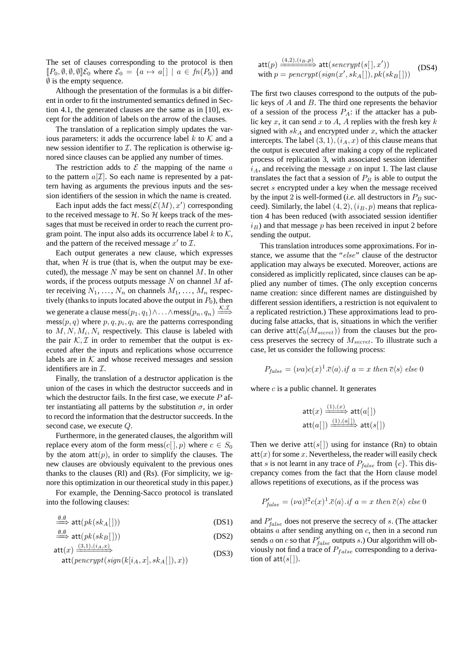The set of clauses corresponding to the protocol is then  $[P_0, \emptyset, \emptyset, \emptyset] \mathcal{E}_0$  where  $\mathcal{E}_0 = \{a \mapsto a\} \mid a \in fn(P_0)\}\$  and  $\emptyset$  is the empty sequence.

Although the presentation of the formulas is a bit different in order to fit the instrumented semantics defined in Section 4.1, the generated clauses are the same as in [10], except for the addition of labels on the arrow of the clauses.

The translation of a replication simply updates the various parameters: it adds the occurrence label k to  $K$  and a new session identifier to  $I$ . The replication is otherwise ignored since clauses can be applied any number of times.

The restriction adds to  $\mathcal E$  the mapping of the name  $\alpha$ to the pattern  $a[\mathcal{I}]$ . So each name is represented by a pattern having as arguments the previous inputs and the session identifiers of the session in which the name is created.

Each input adds the fact mess $(\mathcal{E}(M), x')$  corresponding to the received message to  $H$ . So  $H$  keeps track of the messages that must be received in order to reach the current program point. The input also adds its occurrence label  $k$  to  $K$ , and the pattern of the received message  $x'$  to  $\mathcal{I}$ .

Each output generates a new clause, which expresses that, when  $H$  is true (that is, when the output may be executed), the message  $N$  may be sent on channel  $M$ . In other words, if the process outputs message  $N$  on channel  $M$  after receiving  $N_1, \ldots, N_n$  on channels  $M_1, \ldots, M_n$  respectively (thanks to inputs located above the output in  $P_0$ ), then we generate a clause mess $(p_1, q_1) \wedge \ldots \wedge \mathsf{mess}(p_n, q_n) \stackrel{\mathcal{K}, \mathcal{I}}{\Longrightarrow}$  $\text{mess}(p, q)$  where  $p, q, p_i, q_i$  are the patterns corresponding to  $M, N, M_i, N_i$  respectively. This clause is labeled with the pair  $K, \mathcal{I}$  in order to remember that the output is executed after the inputs and replications whose occurrence labels are in  $K$  and whose received messages and session identifiers are in  $\mathcal{I}$ .

Finally, the translation of a destructor application is the union of the cases in which the destructor succeeds and in which the destructor fails. In the first case, we execute  $P$  after instantiating all patterns by the substitution  $\sigma$ , in order to record the information that the destructor succeeds. In the second case, we execute Q.

Furthermore, in the generated clauses, the algorithm will replace every atom of the form mess(c[], p) where  $c \in S_0$ by the atom  $att(p)$ , in order to simplify the clauses. The new clauses are obviously equivalent to the previous ones thanks to the clauses (Rl) and (Rs). (For simplicity, we ignore this optimization in our theoretical study in this paper.)

For example, the Denning-Sacco protocol is translated into the following clauses:

$$
\xrightarrow{\emptyset, \emptyset} \text{att}(pk(sk_A[\,]))\tag{DS1}
$$

$$
\xrightarrow{\emptyset, \emptyset} \text{att}(pk(sk_B[])) \tag{DS2}
$$

$$
att(x) \xrightarrow{(3,1),(i_A,x)} \tag{DS3}
$$

$$
\mathsf{att}(\mathit{pencypt}(\mathit{sign}(k[i_A,x],\mathit{sk}_A[\,]),x))
$$

$$
\begin{aligned}\n\text{att}(p) & \xrightarrow{(4,2),(i_B,p)} \text{att}(senerypt(s[], x')) \\
\text{with } p = \text{penerypt}(sign(x', sk_A[], pk(sk_B[]))\n\end{aligned} \tag{DS4}
$$

The first two clauses correspond to the outputs of the public keys of A and B. The third one represents the behavior of a session of the process  $P_A$ : if the attacker has a public key x, it can send x to A, A replies with the fresh key  $k$ signed with  $sk_A$  and encrypted under x, which the attacker intercepts. The label  $(3, 1), (i<sub>A</sub>, x)$  of this clause means that the output is executed after making a copy of the replicated process of replication 3, with associated session identifier  $i_A$ , and receiving the message x on input 1. The last clause translates the fact that a session of  $P_B$  is able to output the secret s encrypted under a key when the message received by the input 2 is well-formed (*i.e.* all destructors in  $P_B$  succeed). Similarly, the label  $(4, 2)$ ,  $(i_B, p)$  means that replication 4 has been reduced (with associated session identifier  $i_B$ ) and that message p has been received in input 2 before sending the output.

This translation introduces some approximations. For instance, we assume that the "else" clause of the destructor application may always be executed. Moreover, actions are considered as implicitly replicated, since clauses can be applied any number of times. (The only exception concerns name creation: since different names are distinguished by different session identifiers, a restriction is not equivalent to a replicated restriction.) These approximations lead to producing false attacks, that is, situations in which the verifier can derive att $(\mathcal{E}_0(M_{secret}))$  from the clauses but the process preserves the secrecy of  $M_{secret}$ . To illustrate such a case, let us consider the following process:

$$
P_{false} = (\nu a)c(x)^{1}.\overline{c}\langle a\rangle \text{ if } a = x \text{ then } \overline{c}\langle s\rangle \text{ else } 0
$$

where  $c$  is a public channel. It generates

$$
\begin{aligned}\n\text{att}(x) &\xrightarrow{(1),(x)} \text{att}(a[]) \\
\text{att}(a[]) &\xrightarrow{(1),(a[])} \text{att}(s[])\n\end{aligned}
$$

Then we derive  $att(s[])$  using for instance (Rn) to obtain  $att(x)$  for some x. Nevertheless, the reader will easily check that s is not learnt in any trace of  $P_{false}$  from  $\{c\}$ . This discrepancy comes from the fact that the Horn clause model allows repetitions of executions, as if the process was

$$
P'_{false} = (\nu a)!^2 c(x)^1 \cdot \overline{c} \langle a \rangle \cdot \text{if } a = x \text{ then } \overline{c} \langle s \rangle \text{ else } 0
$$

and  $P'_{false}$  does not preserve the secrecy of s. (The attacker obtains  $a$  after sending anything on  $c$ , then in a second run sends a on c so that  $P'_{false}$  outputs s.) Our algorithm will obviously not find a trace of  $P_{false}$  corresponding to a derivation of  $att(s[$   $]).$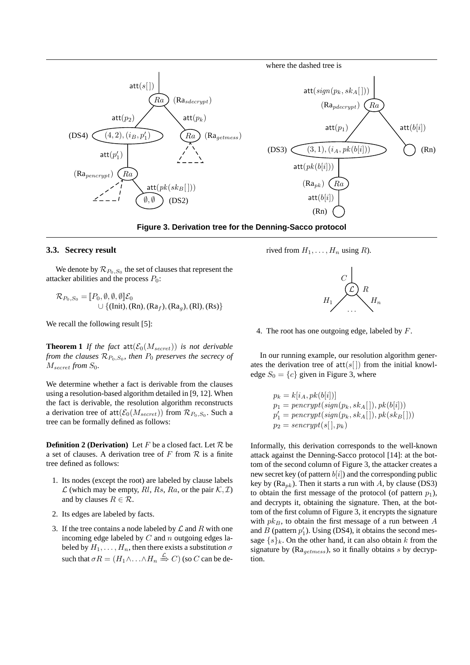



#### **3.3. Secrecy result**

We denote by  $\mathcal{R}_{P_0,S_0}$  the set of clauses that represent the attacker abilities and the process  $P_0$ :

$$
\mathcal{R}_{P_0,S_0} = [\![P_0, \emptyset, \emptyset, \emptyset]\!] \mathcal{E}_0
$$
  
 
$$
\cup \{(\text{Init}), (\text{Rn}), (\text{Ra}_f), (\text{Ra}_g), (\text{Rl}), (\text{Rs})\}
$$

We recall the following result [5]:

**Theorem 1** *If the fact* att $(\mathcal{E}_0(M_{secret}))$  *is not derivable from the clauses*  $\mathcal{R}_{P_0, S_0}$ , then  $P_0$  preserves the secrecy of  $M_{secret}$  *from*  $S_0$ *.* 

We determine whether a fact is derivable from the clauses using a resolution-based algorithm detailed in [9, 12]. When the fact is derivable, the resolution algorithm reconstructs a derivation tree of  $\text{att}(\mathcal{E}_0(M_{secret}))$  from  $\mathcal{R}_{P_0,S_0}$ . Such a tree can be formally defined as follows:

**Definition 2 (Derivation)** Let  $F$  be a closed fact. Let  $\mathcal{R}$  be a set of clauses. A derivation tree of  $F$  from  $R$  is a finite tree defined as follows:

- 1. Its nodes (except the root) are labeled by clause labels  $\mathcal L$  (which may be empty, Rl, Rs, Ra, or the pair  $\mathcal K, \mathcal I$ ) and by clauses  $R \in \mathcal{R}$ .
- 2. Its edges are labeled by facts.
- 3. If the tree contains a node labeled by  $\mathcal L$  and R with one incoming edge labeled by  $C$  and  $n$  outgoing edges labeled by  $H_1, \ldots, H_n$ , then there exists a substitution  $\sigma$ such that  $\sigma R = (H_1 \wedge \ldots \wedge H_n \stackrel{\mathcal{L}}{\Rightarrow} C)$  (so  $C$  can be de-

rived from  $H_1, \ldots, H_n$  using R).



4. The root has one outgoing edge, labeled by F.

In our running example, our resolution algorithm generates the derivation tree of  $att(s[])$  from the initial knowledge  $S_0 = \{c\}$  given in Figure 3, where

$$
p_k = k[i_A, pk(b[i])]
$$
  
\n
$$
p_1 = \operatorname{pencypt}(sign(p_k, sk_A[]), pk(b[i]))
$$
  
\n
$$
p'_1 = \operatorname{pencypt}(sign(p_k, sk_A[]), pk(sk_B[]))
$$
  
\n
$$
p_2 = \operatorname{sencypt}(s[], p_k)
$$

Informally, this derivation corresponds to the well-known attack against the Denning-Sacco protocol [14]: at the bottom of the second column of Figure 3, the attacker creates a new secret key (of pattern  $b[i]$ ) and the corresponding public key by ( $Ra_{pk}$ ). Then it starts a run with A, by clause (DS3) to obtain the first message of the protocol (of pattern  $p_1$ ), and decrypts it, obtaining the signature. Then, at the bottom of the first column of Figure 3, it encrypts the signature with  $pk_B$ , to obtain the first message of a run between  $A$ and  $B$  (pattern  $p'_1$ ). Using (DS4), it obtains the second message  $\{s\}_k$ . On the other hand, it can also obtain k from the signature by  $(Ra_{aetimes})$ , so it finally obtains s by decryption.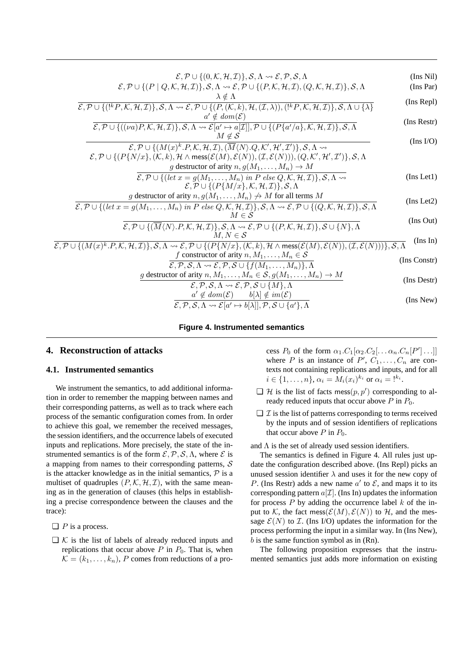| (Ins Nil)        | $\mathcal{E}, \mathcal{P} \cup \{(0,\mathcal{K},\mathcal{H},\mathcal{I})\}, \mathcal{S}, \Lambda \rightsquigarrow \mathcal{E}, \mathcal{P}, \mathcal{S}, \Lambda$                                                                                                                                                        |
|------------------|--------------------------------------------------------------------------------------------------------------------------------------------------------------------------------------------------------------------------------------------------------------------------------------------------------------------------|
| (Ins Par)        | $\mathcal{E}, \mathcal{P} \cup \{ (P \mid Q, \mathcal{K}, \mathcal{H}, \mathcal{I}) \}, \mathcal{S}, \Lambda \rightsquigarrow \mathcal{E}, \mathcal{P} \cup \{ (P, \mathcal{K}, \mathcal{H}, \mathcal{I}), (Q, \mathcal{K}, \mathcal{H}, \mathcal{I}) \}, \mathcal{S}, \Lambda$                                          |
| (Ins Repl)       | $\lambda \notin \Lambda$<br>$\mathcal{E}, \mathcal{P} \cup \{(kP,\mathcal{K},\mathcal{H},\mathcal{I})\}, \mathcal{S}, \Lambda \rightsquigarrow \mathcal{E}, \mathcal{P} \cup \{(P,(\mathcal{K},k),\mathcal{H},(\mathcal{I},\lambda)), (kP,\mathcal{K},\mathcal{H},\mathcal{I})\}, \mathcal{S}, \Lambda \cup \{\lambda\}$ |
| (Ins Restr)      | $a' \notin dom(\mathcal{E})$                                                                                                                                                                                                                                                                                             |
|                  | $\mathcal{E}, \mathcal{P} \cup \{((\nu a)P, \mathcal{K}, \mathcal{H}, \mathcal{I})\}, \mathcal{S}, \Lambda \rightsquigarrow \mathcal{E}[a' \mapsto a[\mathcal{I}], \mathcal{P} \cup \{(P\{a'/a\}, \mathcal{K}, \mathcal{H}, \mathcal{I})\}, \mathcal{S}, \Lambda]$<br>$M \notin \mathcal{S}$                             |
| $($ Ins I/O $)$  | $\mathcal{E}, \mathcal{P} \cup \{(M(x)^k.P, \mathcal{K}, \mathcal{H}, \mathcal{I}), (\overline{M}\langle N \rangle.Q, \mathcal{K}', \mathcal{H}', \mathcal{I}')\}, \mathcal{S}, \Lambda \rightsquigarrow$                                                                                                                |
|                  | $\mathcal{E}, \mathcal{P} \cup \{(P\{N/x\}, (\mathcal{K}, k), \mathcal{H} \wedge \text{mess}(\mathcal{E}(M), \mathcal{E}(N)), (\mathcal{I}, \mathcal{E}(N))), (Q, \mathcal{K}', \mathcal{H}', \mathcal{I}')\}, \mathcal{S}, \Lambda$                                                                                     |
| $($ Ins Let $1)$ | g destructor of arity $n, g(M_1, \ldots, M_n) \to M$                                                                                                                                                                                                                                                                     |
|                  | $\mathcal{E}, \mathcal{P} \cup \{ (let x = g(M_1, \ldots, M_n) \text{ in } P \text{ else } Q, \mathcal{K}, \mathcal{H}, \mathcal{I}) \}, \mathcal{S}, \Lambda \rightarrow$<br>$\mathcal{E}, \mathcal{P} \cup \{ (P\{M/x\}, \mathcal{K}, \mathcal{H}, \mathcal{I}) \}, \mathcal{S}, \Lambda$                              |
|                  | g destructor of arity $n, g(M_1, \ldots, M_n) \nrightarrow M$ for all terms M                                                                                                                                                                                                                                            |
| (Ins Let 2)      | $\mathcal{E}, \mathcal{P} \cup \{(\text{let } x = g(M_1, \ldots, M_n) \text{ in } P \text{ else } Q, \mathcal{K}, \mathcal{H}, \mathcal{I})\}, \mathcal{S}, \Lambda \rightsquigarrow \mathcal{E}, \mathcal{P} \cup \{(Q, \mathcal{K}, \mathcal{H}, \mathcal{I})\}, \mathcal{S}, \Lambda$<br>$M \in \mathcal{S}$          |
| (Ins Out)        | $\mathcal{E}, \mathcal{P} \cup \{(\overline{M}\langle N \rangle, P, \mathcal{K}, \mathcal{H}, \mathcal{I})\}, \mathcal{S}, \Lambda \rightsquigarrow \mathcal{E}, \mathcal{P} \cup \{(P, \mathcal{K}, \mathcal{H}, \mathcal{I})\}, \mathcal{S} \cup \{N\}, \Lambda$                                                       |
| (Ins In)         | $M, N \in \mathcal{S}$                                                                                                                                                                                                                                                                                                   |
|                  | $\mathcal{E}, \mathcal{P} \cup \{(M(x)^k.P, \mathcal{K}, \mathcal{H}, \mathcal{I})\}, \mathcal{S}, \Lambda \rightsquigarrow \mathcal{E}, \mathcal{P} \cup \{(P\{N/x\}, (\mathcal{K}, k), \mathcal{H} \wedge \mathsf{mess}(\mathcal{E}(M), \mathcal{E}(N)), (\mathcal{I}, \mathcal{E}(N))\}, \mathcal{S}, \Lambda$        |
| (Ins Constr)     | f constructor of arity $n, M_1, \ldots, M_n \in \mathcal{S}$<br>$\mathcal{E}, \mathcal{P}, \mathcal{S}, \Lambda \rightsquigarrow \mathcal{E}, \mathcal{P}, \mathcal{S} \cup \{f(M_1, \ldots, M_n)\}, \Lambda$                                                                                                            |
| (Ins Destr)      | g destructor of arity $n, M_1, \ldots, M_n \in S$ , $g(M_1, \ldots, M_n) \to M$                                                                                                                                                                                                                                          |
|                  | $\mathcal{E}, \mathcal{P}, \mathcal{S}, \Lambda \rightsquigarrow \mathcal{E}, \mathcal{P}, \mathcal{S} \cup \{M\}, \Lambda$<br>$a' \notin dom(\mathcal{E})$ $b[\lambda] \notin im(\mathcal{E})$                                                                                                                          |
| (Ins New)        | $\mathcal{E}, \mathcal{P}, \mathcal{S}, \Lambda \rightsquigarrow \mathcal{E}[a' \mapsto b[\lambda]], \mathcal{P}, \mathcal{S} \cup \{a'\}, \Lambda$                                                                                                                                                                      |
|                  |                                                                                                                                                                                                                                                                                                                          |

#### **Figure 4. Instrumented semantics**

# **4. Reconstruction of attacks**

#### **4.1. Instrumented semantics**

We instrument the semantics, to add additional information in order to remember the mapping between names and their corresponding patterns, as well as to track where each process of the semantic configuration comes from. In order to achieve this goal, we remember the received messages, the session identifiers, and the occurrence labels of executed inputs and replications. More precisely, the state of the instrumented semantics is of the form  $\mathcal{E}, \mathcal{P}, \mathcal{S}, \Lambda$ , where  $\mathcal{E}$  is a mapping from names to their corresponding patterns,  $S$ is the attacker knowledge as in the initial semantics,  $\mathcal{P}$  is a multiset of quadruples  $(P, \mathcal{K}, \mathcal{H}, \mathcal{I})$ , with the same meaning as in the generation of clauses (this helps in establishing a precise correspondence between the clauses and the trace):

- $\Box$  *P* is a process.
- $\Box$  K is the list of labels of already reduced inputs and replications that occur above  $P$  in  $P_0$ . That is, when  $\mathcal{K} = (k_1, \ldots, k_n)$ , P comes from reductions of a pro-

cess  $P_0$  of the form  $\alpha_1.C_1[\alpha_2.C_2[\ldots \alpha_n.C_n[P'] \ldots]]$ where P is an instance of  $P', C_1, \ldots, C_n$  are contexts not containing replications and inputs, and for all  $i \in \{1, ..., n\}, \alpha_i = M_i(x_i)^{k_i} \text{ or } \alpha_i = !^{k_i}.$ 

- $\Box$  H is the list of facts mess $(p, p')$  corresponding to already reduced inputs that occur above  $P$  in  $P_0$ .
- $\Box$  *I* is the list of patterns corresponding to terms received by the inputs and of session identifiers of replications that occur above  $P$  in  $P_0$ .

### and  $\Lambda$  is the set of already used session identifiers.

The semantics is defined in Figure 4. All rules just update the configuration described above. (Ins Repl) picks an unused session identifier  $\lambda$  and uses it for the new copy of P. (Ins Restr) adds a new name  $a'$  to  $\mathcal{E}$ , and maps it to its corresponding pattern  $a[\mathcal{I}]$ . (Ins In) updates the information for process  $P$  by adding the occurrence label  $k$  of the input to K, the fact mess( $\mathcal{E}(M), \mathcal{E}(N)$ ) to H, and the message  $\mathcal{E}(N)$  to  $\mathcal{I}$ . (Ins I/O) updates the information for the process performing the input in a similar way. In (Ins New),  $b$  is the same function symbol as in  $(Rn)$ .

The following proposition expresses that the instrumented semantics just adds more information on existing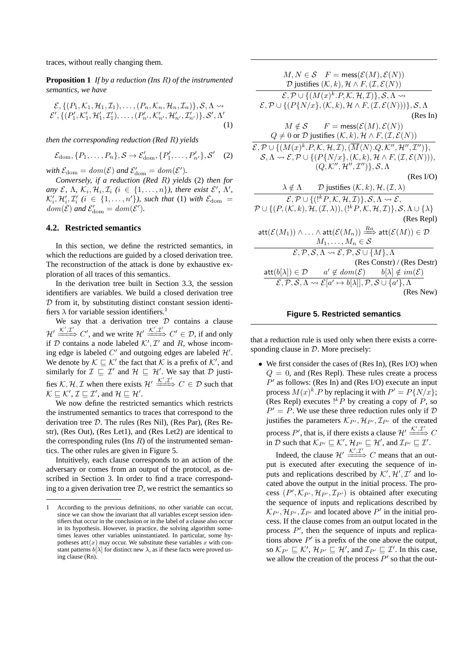traces, without really changing them.

**Proposition 1** *If by a reduction (Ins* R*) of the instrumented semantics, we have*

$$
\mathcal{E}, \{(P_1, \mathcal{K}_1, \mathcal{H}_1, \mathcal{I}_1), \dots, (P_n, \mathcal{K}_n, \mathcal{H}_n, \mathcal{I}_n)\}, \mathcal{S}, \Lambda \rightsquigarrow \\ \mathcal{E}', \{(P'_1, \mathcal{K}'_1, \mathcal{H}'_1, \mathcal{I}'_1), \dots, (P'_{n'}, \mathcal{K}'_{n'}, \mathcal{H}'_{n'}, \mathcal{I}'_{n'})\}, \mathcal{S}', \Lambda'
$$
(1)

*then the corresponding reduction (Red* R*) yields*

$$
\mathcal{E}_{\text{dom}}, \{P_1, \ldots, P_n\}, \mathcal{S} \to \mathcal{E}'_{\text{dom}}, \{P'_1, \ldots, P'_{n'}\}, \mathcal{S}' \quad (2)
$$

with  $\mathcal{E}_{dom} = dom(\mathcal{E})$  and  $\mathcal{E}'_{dom} = dom(\mathcal{E}')$ .

*Conversely, if a reduction (Red* R*) yields* (2) *then for any* E,  $\Lambda$ ,  $\mathcal{K}_i$ ,  $\mathcal{H}_i$ ,  $\mathcal{I}_i$  ( $i \in \{1, \ldots, n\}$ ), there exist  $\mathcal{E}'$ ,  $\Lambda'$ ,  $\mathcal{K}'_i, \mathcal{H}'_i, \mathcal{I}'_i$  ( $i \in \{1, \ldots, n'\}$ ), such that (1) with  $\mathcal{E}_{dom}$  =  $dom(\mathcal{E})$  and  $\mathcal{E}'_{\text{dom}} = dom(\mathcal{E}')$ .

# **4.2. Restricted semantics**

In this section, we define the restricted semantics, in which the reductions are guided by a closed derivation tree. The reconstruction of the attack is done by exhaustive exploration of all traces of this semantics.

In the derivation tree built in Section 3.3, the session identifiers are variables. We build a closed derivation tree  $D$  from it, by substituting distinct constant session identifiers  $\lambda$  for variable session identifiers.<sup>1</sup>

We say that a derivation tree  $D$  contains a clause  $\mathcal{H}' \xrightarrow{\mathcal{K}', \mathcal{I}'} C'$ , and we write  $\mathcal{H}' \xrightarrow{\mathcal{K}', \mathcal{I}'} C' \in \mathcal{D}$ , if and only if D contains a node labeled  $K', \mathcal{I}'$  and R, whose incoming edge is labeled  $C'$  and outgoing edges are labeled  $\mathcal{H}'$ . We denote by  $\mathcal{K} \sqsubseteq \mathcal{K}'$  the fact that  $\mathcal K$  is a prefix of  $\mathcal K'$ , and similarly for  $\mathcal{I} \subseteq \mathcal{I}'$  and  $\mathcal{H} \subseteq \mathcal{H}'$ . We say that  $\mathcal{D}$  justifies  $K, H, \mathcal{I}$  when there exists  $\mathcal{H}' \xrightarrow{K', \mathcal{I}'} C \in \mathcal{D}$  such that  $\mathcal{K} \sqsubseteq \mathcal{K}', \mathcal{I} \sqsubseteq \mathcal{I}'$ , and  $\mathcal{H} \sqsubseteq \mathcal{H}'$ .

We now define the restricted semantics which restricts the instrumented semantics to traces that correspond to the derivation tree D. The rules (Res Nil), (Res Par), (Res Restr), (Res Out), (Res Let1), and (Res Let2) are identical to the corresponding rules (Ins  $R$ ) of the instrumented semantics. The other rules are given in Figure 5.

Intuitively, each clause corresponds to an action of the adversary or comes from an output of the protocol, as described in Section 3. In order to find a trace corresponding to a given derivation tree  $D$ , we restrict the semantics so

| $M, N \in \mathcal{S}$ $F = \text{mess}(\mathcal{E}(M), \mathcal{E}(N))$                                                                                                    |
|-----------------------------------------------------------------------------------------------------------------------------------------------------------------------------|
| $D$ justifies $(K, k), H \wedge F, (\mathcal{I}, \mathcal{E}(N))$                                                                                                           |
| $\mathcal{E}, \mathcal{P} \cup \{(M(x)^k.P, \mathcal{K}, \mathcal{H}, \mathcal{I})\}, \mathcal{S}, \Lambda \rightsquigarrow$                                                |
| $\mathcal{E}, \mathcal{P} \cup \{ (P\{N/x\}, (\mathcal{K}, k), \mathcal{H} \wedge F, (\mathcal{I}, \mathcal{E}(N))) \}, \mathcal{S}, \Lambda$                               |
| (Res In)                                                                                                                                                                    |
| $M \notin \mathcal{S}$ $F = \text{mess}(\mathcal{E}(M), \mathcal{E}(N))$                                                                                                    |
| $Q \neq 0$ or $D$ justifies $(K, k), H \wedge F, (\mathcal{I}, \mathcal{E}(N))$                                                                                             |
| $\mathcal{E}, \mathcal{P} \cup \{(M(x)^k.P, \mathcal{K}, \mathcal{H}, \mathcal{I}), (\overline{M}\langle N \rangle.Q, \mathcal{K}'', \mathcal{H}'', \mathcal{I}'')\},$      |
| $\mathcal{S}, \Lambda \rightsquigarrow \mathcal{E}, \mathcal{P} \cup \{ (P\{N/x\}, (\mathcal{K}, k), \mathcal{H} \wedge F, (\mathcal{I}, \mathcal{E}(N))),$                 |
| $(Q, \mathcal{K}'', \mathcal{H}'', \mathcal{I}'')\}, \mathcal{S}, \Lambda$                                                                                                  |
| (Res I/O)                                                                                                                                                                   |
| $\lambda \notin \Lambda$ D justifies $(\mathcal{K}, k), \mathcal{H}, (\mathcal{I}, \lambda)$                                                                                |
| $\mathcal{E}, \mathcal{P} \cup \{({}^{1k}P, \mathcal{K}, \mathcal{H}, \mathcal{I})\}, \mathcal{S}, \Lambda \leadsto \mathcal{E},$                                           |
| $\mathcal{P} \cup \{ (P, (\mathcal{K}, k), \mathcal{H}, (\mathcal{I}, \lambda)), (!^{k}P, \mathcal{K}, \mathcal{H}, \mathcal{I}) \}, \mathcal{S}, \Lambda \cup \{\lambda\}$ |
| (Res Repl)                                                                                                                                                                  |
| $\mathsf{att}(\mathcal{E}(M_1)) \wedge \ldots \wedge \mathsf{att}(\mathcal{E}(M_n)) \stackrel{Ra}{\Longrightarrow} \mathsf{att}(\mathcal{E}(M)) \in \mathcal{D}$            |
| $M_1, \ldots, M_n \in \mathcal{S}$                                                                                                                                          |
| $\mathcal{E}, \mathcal{P}, \mathcal{S}, \Lambda \rightsquigarrow \mathcal{E}, \mathcal{P}, \mathcal{S} \cup \{M\}, \Lambda$                                                 |
| (Res Constr) / (Res Destr)                                                                                                                                                  |
| $\mathsf{att}(b[\lambda]) \in \mathcal{D}$ $a' \notin dom(\mathcal{E})$ $b[\lambda] \notin im(\mathcal{E})$                                                                 |
| $\mathcal{E}, \mathcal{P}, \mathcal{S}, \Lambda \rightsquigarrow \mathcal{E}[a' \mapsto b[\lambda]], \mathcal{P}, \mathcal{S} \cup \{a'\}, \Lambda$                         |
| (Res New)                                                                                                                                                                   |
|                                                                                                                                                                             |

## **Figure 5. Restricted semantics**

that a reduction rule is used only when there exists a corresponding clause in  $D$ . More precisely:

• We first consider the cases of (Res In), (Res I/O) when  $Q = 0$ , and (Res Repl). These rules create a process  $P'$  as follows: (Res In) and (Res I/O) execute an input process  $M(x)^k$ . P by replacing it with  $P' = P\{N/x\}$ ; (Res Repl) executes  $!^{k}P$  by creating a copy of  $P$ , so  $P' = P$ . We use these three reduction rules only if  $D$ justifies the parameters  $\mathcal{K}_{P}$ ,  $\mathcal{H}_{P}$ ,  $\mathcal{I}_{P}$  of the created process P', that is, if there exists a clause  $\mathcal{H}' \xrightarrow{\mathcal{K}', \mathcal{I}'} C$ in D such that  $\mathcal{K}_{P'} \sqsubseteq \mathcal{K}', \mathcal{H}_{P'} \sqsubseteq \mathcal{H}'$ , and  $\mathcal{I}_{P'} \sqsubseteq \mathcal{I}'$ .

Indeed, the clause  $\mathcal{H}' \xrightarrow{\mathcal{K}', \mathcal{I}'} C$  means that an output is executed after executing the sequence of inputs and replications described by  $K', \mathcal{H}', \mathcal{I}'$  and located above the output in the initial process. The process  $(P', \mathcal{K}_{P'}, \mathcal{H}_{P'}, \mathcal{I}_{P'})$  is obtained after executing the sequence of inputs and replications described by  $\mathcal{K}_{P}$ ,  $\mathcal{H}_{P}$ ,  $\mathcal{I}_{P}$  and located above  $P'$  in the initial process. If the clause comes from an output located in the process  $P'$ , then the sequence of inputs and replications above  $P'$  is a prefix of the one above the output, so  $\mathcal{K}_{P'} \sqsubseteq \mathcal{K}', \mathcal{H}_{P'} \sqsubseteq \mathcal{H}',$  and  $\mathcal{I}_{P'} \sqsubseteq \mathcal{I}'.$  In this case, we allow the creation of the process  $P'$  so that the out-

<sup>1</sup> According to the previous definitions, no other variable can occur, since we can show the invariant that all variables except session identifiers that occur in the conclusion or in the label of a clause also occur in its hypothesis. However, in practice, the solving algorithm sometimes leaves other variables uninstantiated. In particular, some hypotheses  $\text{att}(x)$  may occur. We substitute these variables x with constant patterns  $b[\lambda]$  for distinct new  $\lambda$ , as if these facts were proved using clause (Rn).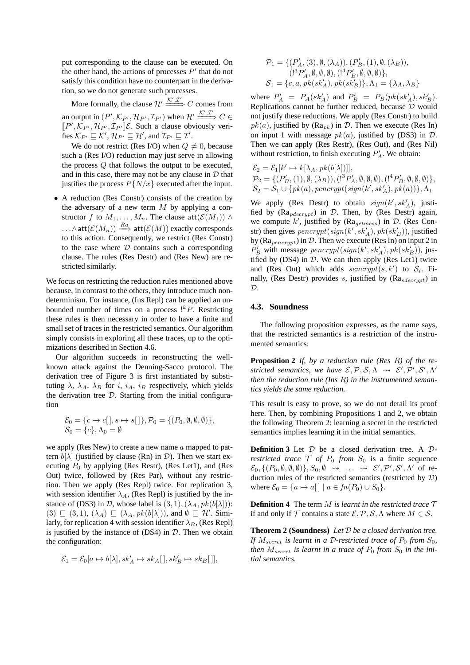put corresponding to the clause can be executed. On the other hand, the actions of processes  $P'$  that do not satisfy this condition have no counterpart in the derivation, so we do not generate such processes.

More formally, the clause  $\mathcal{H}' \xrightarrow{\mathcal{K}',\mathcal{I}'} C$  comes from an output in  $(P', \mathcal{K}_{P'}, \mathcal{H}_{P'}, \mathcal{I}_{P'})$  when  $\mathcal{H'} \xrightarrow{\mathcal{K'}, \mathcal{I'}} C \in$  $\llbracket P', \mathcal{K}_{P'}, \mathcal{H}_{P'}, \mathcal{I}_{P'} \rrbracket \mathcal{E}$ . Such a clause obviously verifies  $\mathcal{K}_{P'} \sqsubseteq \mathcal{K}', \mathcal{H}_{P'} \sqsubseteq \mathcal{H}',$  and  $\mathcal{I}_{P'} \sqsubseteq \mathcal{I}'.$ 

We do not restrict (Res I/O) when  $Q \neq 0$ , because such a (Res I/O) reduction may just serve in allowing the process Q that follows the output to be executed, and in this case, there may not be any clause in  $D$  that justifies the process  $P\{N/x\}$  executed after the input.

• A reduction (Res Constr) consists of the creation by the adversary of a new term  $M$  by applying a constructor f to  $M_1, \ldots, M_n$ . The clause att $(\mathcal{E}(M_1)) \wedge$ ...∧att $(\mathcal{E}(M_n)) \stackrel{Ra}{\Longrightarrow}$  att $(\mathcal{E}(M))$  exactly corresponds to this action. Consequently, we restrict (Res Constr) to the case where  $D$  contains such a corresponding clause. The rules (Res Destr) and (Res New) are restricted similarly.

We focus on restricting the reduction rules mentioned above because, in contrast to the others, they introduce much nondeterminism. For instance, (Ins Repl) can be applied an unbounded number of times on a process  $!^{k}P$ . Restricting these rules is then necessary in order to have a finite and small set of traces in the restricted semantics. Our algorithm simply consists in exploring all these traces, up to the optimizations described in Section 4.6.

Our algorithm succeeds in reconstructing the wellknown attack against the Denning-Sacco protocol. The derivation tree of Figure 3 is first instantiated by substituting  $\lambda$ ,  $\lambda_A$ ,  $\lambda_B$  for *i*, *i<sub>A</sub>*, *i<sub>B</sub>* respectively, which yields the derivation tree  $D$ . Starting from the initial configuration

$$
\mathcal{E}_0 = \{c \mapsto c[], s \mapsto s[], \mathcal{P}_0 = \{(P_0, \emptyset, \emptyset, \emptyset)\},\
$$
  

$$
\mathcal{S}_0 = \{c\}, \Lambda_0 = \emptyset
$$

we apply (Res New) to create a new name  $\alpha$  mapped to pattern  $b[\lambda]$  (justified by clause (Rn) in D). Then we start executing  $P_0$  by applying (Res Restr), (Res Let1), and (Res Out) twice, followed by (Res Par), without any restriction. Then we apply (Res Repl) twice. For replication 3, with session identifier  $\lambda_A$ , (Res Repl) is justified by the instance of (DS3) in D, whose label is  $(3, 1), (\lambda_A, pk(b[\lambda]))$ :  $(3) \sqsubseteq (3,1), (\lambda_A) \sqsubseteq (\lambda_A, pk(b[\lambda]))$ , and  $\emptyset \sqsubseteq \mathcal{H}'$ . Similarly, for replication 4 with session identifier  $\lambda_B$ , (Res Repl) is justified by the instance of  $(DS4)$  in  $D$ . Then we obtain the configuration:

$$
\mathcal{E}_1=\mathcal{E}_0[a\mapsto b[\lambda],sk'_A\mapsto sk_A[\,],sk'_B\mapsto sk_B[\,]],
$$

$$
\begin{aligned} \mathcal{P}_1 &= \{(P_A', (3), \emptyset, (\lambda_A)), (P_B', (1), \emptyset, (\lambda_B)), \\ & (!^3P_A', \emptyset, \emptyset, \emptyset), (!^4P_B', \emptyset, \emptyset, \emptyset)\}, \\ \mathcal{S}_1 &= \{c, a, pk(sk_A'), pk(sk_B'\}\}, \Lambda_1 = \{\lambda_A, \lambda_B\} \end{aligned}
$$

where  $P'_A = P_A(sk'_A)$  and  $P'_B = P_B(pk(sk'_A), sk'_B)$ . Replications cannot be further reduced, because  $D$  would not justify these reductions. We apply (Res Constr) to build  $pk(a)$ , justified by (Ra<sub>pk</sub>) in D. Then we execute (Res In) on input 1 with message  $pk(a)$ , justified by (DS3) in  $D$ . Then we can apply (Res Restr), (Res Out), and (Res Nil) without restriction, to finish executing  $P'_A$ . We obtain:

 $\mathcal{E}_2 = \mathcal{E}_1[k' \mapsto k[\lambda_A, pk(b[\lambda])]],$  $\mathcal{P}_2 = \{ (P'_B, (1), \emptyset, (\lambda_B)), (!^3P'_A, \emptyset, \emptyset, \emptyset), (!^4P'_B, \emptyset, \emptyset, \emptyset) \},\,$  $\mathcal{S}_2 = \mathcal{S}_1 \cup \{ pk(a), \mathit{pencypt}(\mathit{sign}(k',\mathit{sk}'_A), \mathit{pk}(a))\}, \Lambda_1$ 

We apply (Res Destr) to obtain  $sign(k', sk'_A)$ , justified by  $(Ra_{pdecrypt})$  in  $D$ . Then, by (Res Destr) again, we compute  $k'$ , justified by (Ra<sub>getmess</sub>) in D. (Res Constr) then gives  $\mathit{pencypt}(\mathit{sign}(k',\mathit{sk}'_A),\mathit{pk}(\mathit{sk}'_B))$ , justified by ( $Ra_{p\text{energy}}$ ) in  $D$ . Then we execute (Res In) on input 2 in  $P'_B$  with message pencrypt(sign(k', sk'<sub>A</sub>), pk(sk'<sub>B</sub>)), justified by  $(DS4)$  in  $D$ . We can then apply (Res Let1) twice and (Res Out) which adds  $s\acute{e}nerypt(s, k')$  to  $S_i$ . Finally, (Res Destr) provides s, justified by  $(Ra_{sdecrurb})$  in  $\mathcal{D}$ .

#### **4.3. Soundness**

The following proposition expresses, as the name says, that the restricted semantics is a restriction of the instrumented semantics:

**Proposition 2** *If, by a reduction rule (Res* R*) of the restricted semantics, we have*  $\mathcal{E}, \mathcal{P}, \mathcal{S}, \Lambda \rightsquigarrow \mathcal{E}', \mathcal{P}', \mathcal{S}', \Lambda'$ *then the reduction rule (Ins* R*) in the instrumented semantics yields the same reduction.*

This result is easy to prove, so we do not detail its proof here. Then, by combining Propositions 1 and 2, we obtain the following Theorem 2: learning a secret in the restricted semantics implies learning it in the initial semantics.

**Definition 3** Let D be a closed derivation tree. A D*restricted trace*  $\mathcal T$  *of*  $P_0$  *from*  $S_0$  is a finite sequence  $\mathcal{E}_0, \{ (P_0, \emptyset, \emptyset, \emptyset) \}, S_0, \emptyset \rightsquigarrow \dots \rightsquigarrow \mathcal{E}', \mathcal{P}', \mathcal{S}', \Lambda'$  of reduction rules of the restricted semantics (restricted by D) where  $\mathcal{E}_0 = \{a \mapsto a[ ] \mid a \in fn(P_0) \cup S_0 \}.$ 

**Definition 4** The term M *is learnt in the restricted trace* T if and only if T contains a state  $\mathcal{E}, \mathcal{P}, \mathcal{S}, \Lambda$  where  $M \in \mathcal{S}$ .

**Theorem 2 (Soundness)** *Let* D *be a closed derivation tree. If*  $M_{secret}$  *is learnt in a D-restricted trace of*  $P_0$  *from*  $S_0$ *, then*  $M_{secret}$  *is learnt in a trace of*  $P_0$  *from*  $S_0$  *in the initial semantics.*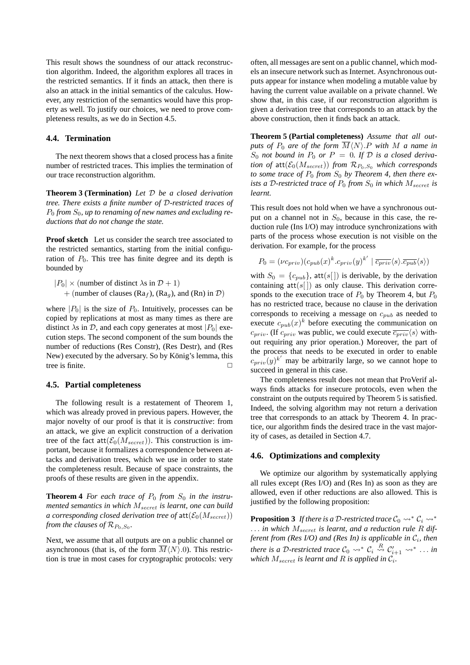This result shows the soundness of our attack reconstruction algorithm. Indeed, the algorithm explores all traces in the restricted semantics. If it finds an attack, then there is also an attack in the initial semantics of the calculus. However, any restriction of the semantics would have this property as well. To justify our choices, we need to prove completeness results, as we do in Section 4.5.

# **4.4. Termination**

The next theorem shows that a closed process has a finite number of restricted traces. This implies the termination of our trace reconstruction algorithm.

**Theorem 3 (Termination)** *Let* D *be a closed derivation tree. There exists a finite number of* D*-restricted traces of* P<sup>0</sup> *from* S0*, up to renaming of new names and excluding reductions that do not change the state.*

**Proof sketch** Let us consider the search tree associated to the restricted semantics, starting from the initial configuration of  $P_0$ . This tree has finite degree and its depth is bounded by

$$
|P_0| \times \text{(number of distinct } \lambda \text{s in } \mathcal{D} + 1)
$$

+ (number of clauses (Ra<sub>f</sub>), (Ra<sub>q</sub>), and (Rn) in  $\mathcal{D}$ )

where  $|P_0|$  is the size of  $P_0$ . Intuitively, processes can be copied by replications at most as many times as there are distinct  $\lambda$ s in D, and each copy generates at most |P<sub>0</sub>| execution steps. The second component of the sum bounds the number of reductions (Res Constr), (Res Destr), and (Res New) executed by the adversary. So by König's lemma, this tree is finite.

## **4.5. Partial completeness**

The following result is a restatement of Theorem 1, which was already proved in previous papers. However, the major novelty of our proof is that it is *constructive*: from an attack, we give an explicit construction of a derivation tree of the fact  $\text{att}(\mathcal{E}_0(M_{secret}))$ . This construction is important, because it formalizes a correspondence between attacks and derivation trees, which we use in order to state the completeness result. Because of space constraints, the proofs of these results are given in the appendix.

**Theorem 4** *For each trace of*  $P_0$  *from*  $S_0$  *in the instrumented semantics in which*  $M_{secret}$  *is learnt, one can build a corresponding closed derivation tree of*  $att(\mathcal{E}_0(M_{secret}))$ *from the clauses of*  $\mathcal{R}_{P_0, S_0}$ *.* 

Next, we assume that all outputs are on a public channel or asynchronous (that is, of the form  $\overline{M}(N)$ .0). This restriction is true in most cases for cryptographic protocols: very often, all messages are sent on a public channel, which models an insecure network such as Internet. Asynchronous outputs appear for instance when modeling a mutable value by having the current value available on a private channel. We show that, in this case, if our reconstruction algorithm is given a derivation tree that corresponds to an attack by the above construction, then it finds back an attack.

**Theorem 5 (Partial completeness)** *Assume that all outputs of*  $P_0$  *are of the form*  $\overline{M}\langle N \rangle$ .P *with* M *a name in*  $S_0$  *not bound in*  $P_0$  *or*  $P = 0$ *. If*  $D$  *is a closed derivation of*  $\text{att}(\mathcal{E}_0(M_{secret}))$  *from*  $\mathcal{R}_{P_0,S_0}$  *which corresponds to some trace of*  $P_0$  *from*  $S_0$  *by Theorem 4, then there exists a D-restricted trace of*  $P_0$  *from*  $S_0$  *in which*  $M_{secret}$  *is learnt.*

This result does not hold when we have a synchronous output on a channel not in  $S_0$ , because in this case, the reduction rule (Ins I/O) may introduce synchronizations with parts of the process whose execution is not visible on the derivation. For example, for the process

$$
P_0 = (\nu c_{priv})(c_{pub}(x)^k.c_{priv}(y)^{k'} | \overline{c_{priv}}\langle s\rangle.\overline{c_{pub}}\langle s\rangle)
$$

with  $S_0 = \{c_{pub}\}\$ , att $(s[$ ] is derivable, by the derivation containing  $att(s[])$  as only clause. This derivation corresponds to the execution trace of  $P_0$  by Theorem 4, but  $P_0$ has no restricted trace, because no clause in the derivation corresponds to receiving a message on  $c_{pub}$  as needed to execute  $c_{pub}(x)^k$  before executing the communication on  $c_{priv}$ . (If  $c_{priv}$  was public, we could execute  $\overline{c_{priv}}\langle s \rangle$  without requiring any prior operation.) Moreover, the part of the process that needs to be executed in order to enable  $c_{priv}(y)^{k'}$  may be arbitrarily large, so we cannot hope to succeed in general in this case.

The completeness result does not mean that ProVerif always finds attacks for insecure protocols, even when the constraint on the outputs required by Theorem 5 is satisfied. Indeed, the solving algorithm may not return a derivation tree that corresponds to an attack by Theorem 4. In practice, our algorithm finds the desired trace in the vast majority of cases, as detailed in Section 4.7.

#### **4.6. Optimizations and complexity**

We optimize our algorithm by systematically applying all rules except (Res I/O) and (Res In) as soon as they are allowed, even if other reductions are also allowed. This is justified by the following proposition:

**Proposition 3** *If there is a D-restricted trace*  $C_0 \rightsquigarrow^* C_i \rightsquigarrow^*$ ... *in which*  $M_{secret}$  *is learnt, and a reduction rule* R *different from (Res I/O) and (Res In) is applicable in* C<sup>i</sup> *, then there is a D-restricted trace*  $C_0 \leadsto^* C_i \stackrel{R}{\leadsto} C'_{i+1} \leadsto^* \ldots$  *in* which  $M_{secret}$  is learnt and  $R$  is applied in  $\mathcal{C}_i$ .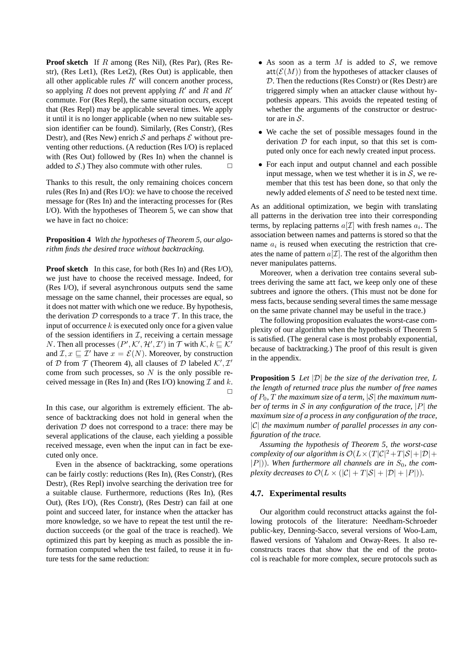**Proof sketch** If R among (Res Nil), (Res Par), (Res Restr), (Res Let1), (Res Let2), (Res Out) is applicable, then all other applicable rules  $R'$  will concern another process, so applying R does not prevent applying  $R'$  and  $R'$ commute. For (Res Repl), the same situation occurs, except that (Res Repl) may be applicable several times. We apply it until it is no longer applicable (when no new suitable session identifier can be found). Similarly, (Res Constr), (Res Destr), and (Res New) enrich  $S$  and perhaps  $\mathcal E$  without preventing other reductions. (A reduction (Res I/O) is replaced with (Res Out) followed by (Res In) when the channel is added to S.) They also commute with other rules.  $\Box$ 

Thanks to this result, the only remaining choices concern rules (Res In) and (Res I/O): we have to choose the received message for (Res In) and the interacting processes for (Res I/O). With the hypotheses of Theorem 5, we can show that we have in fact no choice:

**Proposition 4** *With the hypotheses of Theorem 5, our algorithm finds the desired trace without backtracking.*

**Proof sketch** In this case, for both (Res In) and (Res I/O), we just have to choose the received message. Indeed, for (Res I/O), if several asynchronous outputs send the same message on the same channel, their processes are equal, so it does not matter with which one we reduce. By hypothesis, the derivation  $D$  corresponds to a trace  $T$ . In this trace, the input of occurrence  $k$  is executed only once for a given value of the session identifiers in  $I$ , receiving a certain message N. Then all processes  $(P', \mathcal{K}', \mathcal{H}', \mathcal{I}')$  in  $\mathcal{T}$  with  $\mathcal{K}, k \sqsubseteq \mathcal{K}'$ and  $\mathcal{I}, x \sqsubseteq \mathcal{I}'$  have  $x = \mathcal{E}(N)$ . Moreover, by construction of  $D$  from  $T$  (Theorem 4), all clauses of  $D$  labeled  $K', L'$ come from such processes, so  $N$  is the only possible received message in (Res In) and (Res I/O) knowing  $\mathcal I$  and  $k$ .  $\Box$ 

In this case, our algorithm is extremely efficient. The absence of backtracking does not hold in general when the derivation  $D$  does not correspond to a trace: there may be several applications of the clause, each yielding a possible received message, even when the input can in fact be executed only once.

Even in the absence of backtracking, some operations can be fairly costly: reductions (Res In), (Res Constr), (Res Destr), (Res Repl) involve searching the derivation tree for a suitable clause. Furthermore, reductions (Res In), (Res Out), (Res I/O), (Res Constr), (Res Destr) can fail at one point and succeed later, for instance when the attacker has more knowledge, so we have to repeat the test until the reduction succeeds (or the goal of the trace is reached). We optimized this part by keeping as much as possible the information computed when the test failed, to reuse it in future tests for the same reduction:

- As soon as a term  $M$  is added to  $S$ , we remove  $\text{att}(\mathcal{E}(M))$  from the hypotheses of attacker clauses of D. Then the reductions (Res Constr) or (Res Destr) are triggered simply when an attacker clause without hypothesis appears. This avoids the repeated testing of whether the arguments of the constructor or destructor are in  $S$ .
- We cache the set of possible messages found in the derivation  $D$  for each input, so that this set is computed only once for each newly created input process.
- For each input and output channel and each possible input message, when we test whether it is in  $S$ , we remember that this test has been done, so that only the newly added elements of  $S$  need to be tested next time.

As an additional optimization, we begin with translating all patterns in the derivation tree into their corresponding terms, by replacing patterns  $a[\mathcal{I}]$  with fresh names  $a_i$ . The association between names and patterns is stored so that the name  $a_i$  is reused when executing the restriction that creates the name of pattern  $a[\mathcal{I}]$ . The rest of the algorithm then never manipulates patterns.

Moreover, when a derivation tree contains several subtrees deriving the same att fact, we keep only one of these subtrees and ignore the others. (This must not be done for mess facts, because sending several times the same message on the same private channel may be useful in the trace.)

The following proposition evaluates the worst-case complexity of our algorithm when the hypothesis of Theorem 5 is satisfied. (The general case is most probably exponential, because of backtracking.) The proof of this result is given in the appendix.

**Proposition 5** *Let* |D| *be the size of the derivation tree,* L *the length of returned trace plus the number of free names* of  $P_0$ ,  $T$  the maximum size of a term,  $|S|$  the maximum num*ber of terms in* S *in any configuration of the trace,* |P| *the maximum size of a process in any configuration of the trace,* |C| *the maximum number of parallel processes in any configuration of the trace.*

*Assuming the hypothesis of Theorem 5, the worst-case complexity of our algorithm is*  $\mathcal{O}(L \times (T|\mathcal{C}|^2 + T|\mathcal{S}| + |\mathcal{D}| +$  $|P|$ )). When furthermore all channels are in  $S_0$ , the com*plexity decreases to*  $\mathcal{O}(L \times (|\mathcal{C}| + T|\mathcal{S}| + |\mathcal{D}| + |P|)).$ 

# **4.7. Experimental results**

Our algorithm could reconstruct attacks against the following protocols of the literature: Needham-Schroeder public-key, Denning-Sacco, several versions of Woo-Lam, flawed versions of Yahalom and Otway-Rees. It also reconstructs traces that show that the end of the protocol is reachable for more complex, secure protocols such as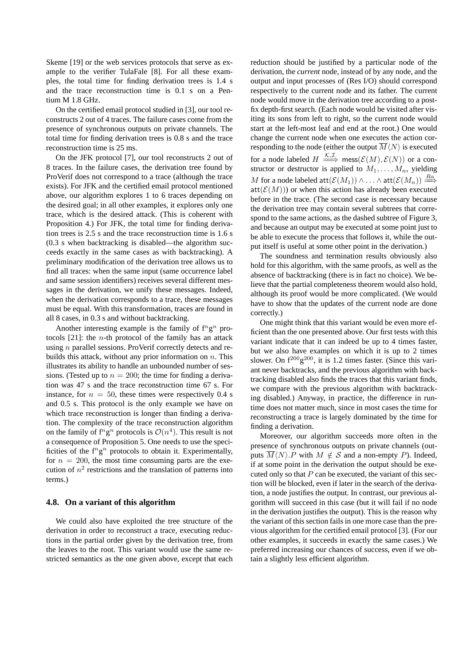Skeme [19] or the web services protocols that serve as example to the verifier TulaFale [8]. For all these examples, the total time for finding derivation trees is 1.4 s and the trace reconstruction time is 0.1 s on a Pentium M 1.8 GHz.

On the certified email protocol studied in [3], our tool reconstructs 2 out of 4 traces. The failure cases come from the presence of synchronous outputs on private channels. The total time for finding derivation trees is 0.8 s and the trace reconstruction time is 25 ms.

On the JFK protocol [7], our tool reconstructs 2 out of 8 traces. In the failure cases, the derivation tree found by ProVerif does not correspond to a trace (although the trace exists). For JFK and the certified email protocol mentioned above, our algorithm explores 1 to 6 traces depending on the desired goal; in all other examples, it explores only one trace, which is the desired attack. (This is coherent with Proposition 4.) For JFK, the total time for finding derivation trees is 2.5 s and the trace reconstruction time is 1.6 s (0.3 s when backtracking is disabled—the algorithm succeeds exactly in the same cases as with backtracking). A preliminary modification of the derivation tree allows us to find all traces: when the same input (same occurrence label and same session identifiers) receives several different messages in the derivation, we unify these messages. Indeed, when the derivation corresponds to a trace, these messages must be equal. With this transformation, traces are found in all 8 cases, in 0.3 s and without backtracking.

Another interesting example is the family of  $f^n g^n$  protocols  $[21]$ : the *n*-th protocol of the family has an attack using *n* parallel sessions. ProVerif correctly detects and rebuilds this attack, without any prior information on  $n$ . This illustrates its ability to handle an unbounded number of sessions. (Tested up to  $n = 200$ ; the time for finding a derivation was 47 s and the trace reconstruction time 67 s. For instance, for  $n = 50$ , these times were respectively 0.4 s and 0.5 s. This protocol is the only example we have on which trace reconstruction is longer than finding a derivation. The complexity of the trace reconstruction algorithm on the family of  $f^n g^n$  protocols is  $\mathcal{O}(n^4)$ . This result is not a consequence of Proposition 5. One needs to use the specificities of the  $f^n g^n$  protocols to obtain it. Experimentally, for  $n = 200$ , the most time consuming parts are the execution of  $n^2$  restrictions and the translation of patterns into terms.)

#### **4.8. On a variant of this algorithm**

We could also have exploited the tree structure of the derivation in order to reconstruct a trace, executing reductions in the partial order given by the derivation tree, from the leaves to the root. This variant would use the same restricted semantics as the one given above, except that each reduction should be justified by a particular node of the derivation, the *current* node, instead of by any node, and the output and input processes of (Res I/O) should correspond respectively to the current node and its father. The current node would move in the derivation tree according to a postfix depth-first search. (Each node would be visited after visiting its sons from left to right, so the current node would start at the left-most leaf and end at the root.) One would change the current node when one executes the action corresponding to the node (either the output  $\overline{M}\langle N\rangle$  is executed for a node labeled  $H \stackrel{\mathcal{K}, \mathcal{I}}{\Longrightarrow} \text{mess}(\mathcal{E}(M), \mathcal{E}(N))$  or a constructor or destructor is applied to  $M_1, \ldots, M_n$ , yielding  $M$  for a node labeled  $\mathsf{att}(\mathcal{E}(M_1)) \wedge \ldots \wedge \mathsf{att}(\mathcal{E}(M_n)) \stackrel{Ra}{\Longrightarrow}$  $att(\mathcal{E}(M)))$  or when this action has already been executed before in the trace. (The second case is necessary because the derivation tree may contain several subtrees that correspond to the same actions, as the dashed subtree of Figure 3, and because an output may be executed at some point just to be able to execute the process that follows it, while the output itself is useful at some other point in the derivation.)

The soundness and termination results obviously also hold for this algorithm, with the same proofs, as well as the absence of backtracking (there is in fact no choice). We believe that the partial completeness theorem would also hold, although its proof would be more complicated. (We would have to show that the updates of the current node are done correctly.)

One might think that this variant would be even more efficient than the one presented above. Our first tests with this variant indicate that it can indeed be up to 4 times faster, but we also have examples on which it is up to 2 times slower. On  $f^{200}g^{200}$ , it is 1.2 times faster. (Since this variant never backtracks, and the previous algorithm with backtracking disabled also finds the traces that this variant finds, we compare with the previous algorithm with backtracking disabled.) Anyway, in practice, the difference in runtime does not matter much, since in most cases the time for reconstructing a trace is largely dominated by the time for finding a derivation.

Moreover, our algorithm succeeds more often in the presence of synchronous outputs on private channels (outputs  $\overline{M}\langle N\rangle.P$  with  $M \notin S$  and a non-empty P). Indeed, if at some point in the derivation the output should be executed only so that  $P$  can be executed, the variant of this section will be blocked, even if later in the search of the derivation, a node justifies the output. In contrast, our previous algorithm will succeed in this case (but it will fail if no node in the derivation justifies the output). This is the reason why the variant of this section fails in one more case than the previous algorithm for the certified email protocol [3]. (For our other examples, it succeeds in exactly the same cases.) We preferred increasing our chances of success, even if we obtain a slightly less efficient algorithm.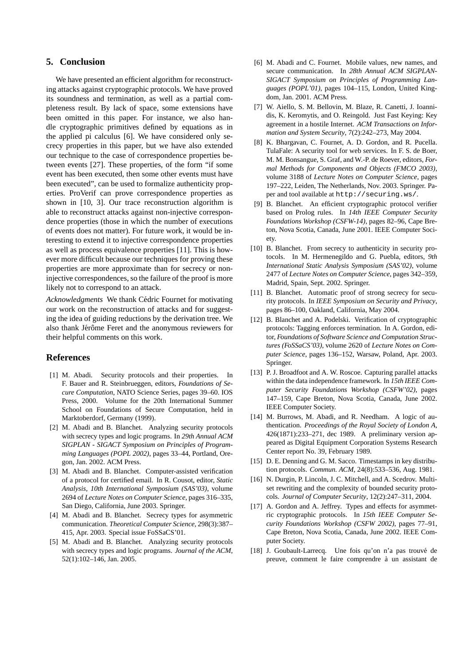# **5. Conclusion**

We have presented an efficient algorithm for reconstructing attacks against cryptographic protocols. We have proved its soundness and termination, as well as a partial completeness result. By lack of space, some extensions have been omitted in this paper. For instance, we also handle cryptographic primitives defined by equations as in the applied pi calculus [6]. We have considered only secrecy properties in this paper, but we have also extended our technique to the case of correspondence properties between events [27]. These properties, of the form "if some event has been executed, then some other events must have been executed", can be used to formalize authenticity properties. ProVerif can prove correspondence properties as shown in [10, 3]. Our trace reconstruction algorithm is able to reconstruct attacks against non-injective correspondence properties (those in which the number of executions of events does not matter). For future work, it would be interesting to extend it to injective correspondence properties as well as process equivalence properties [11]. This is however more difficult because our techniques for proving these properties are more approximate than for secrecy or noninjective correspondences, so the failure of the proof is more likely not to correspond to an attack.

*Acknowledgments* We thank Cédric Fournet for motivating our work on the reconstruction of attacks and for suggesting the idea of guiding reductions by the derivation tree. We also thank Jérôme Feret and the anonymous reviewers for their helpful comments on this work.

# **References**

- [1] M. Abadi. Security protocols and their properties. In F. Bauer and R. Steinbrueggen, editors, *Foundations of Secure Computation*, NATO Science Series, pages 39–60. IOS Press, 2000. Volume for the 20th International Summer School on Foundations of Secure Computation, held in Marktoberdorf, Germany (1999).
- [2] M. Abadi and B. Blanchet. Analyzing security protocols with secrecy types and logic programs. In *29th Annual ACM SIGPLAN - SIGACT Symposium on Principles of Programming Languages (POPL 2002)*, pages 33–44, Portland, Oregon, Jan. 2002. ACM Press.
- [3] M. Abadi and B. Blanchet. Computer-assisted verification of a protocol for certified email. In R. Cousot, editor, *Static Analysis, 10th International Symposium (SAS'03)*, volume 2694 of *Lecture Notes on Computer Science*, pages 316–335, San Diego, California, June 2003. Springer.
- [4] M. Abadi and B. Blanchet. Secrecy types for asymmetric communication. *Theoretical Computer Science*, 298(3):387– 415, Apr. 2003. Special issue FoSSaCS'01.
- [5] M. Abadi and B. Blanchet. Analyzing security protocols with secrecy types and logic programs. *Journal of the ACM*, 52(1):102–146, Jan. 2005.
- [6] M. Abadi and C. Fournet. Mobile values, new names, and secure communication. In *28th Annual ACM SIGPLAN-SIGACT Symposium on Principles of Programming Languages (POPL'01)*, pages 104–115, London, United Kingdom, Jan. 2001. ACM Press.
- [7] W. Aiello, S. M. Bellovin, M. Blaze, R. Canetti, J. Ioannidis, K. Keromytis, and O. Reingold. Just Fast Keying: Key agreement in a hostile Internet. *ACM Transactions on Information and System Security*, 7(2):242–273, May 2004.
- [8] K. Bhargavan, C. Fournet, A. D. Gordon, and R. Pucella. TulaFale: A security tool for web services. In F. S. de Boer, M. M. Bonsangue, S. Graf, and W.-P. de Roever, editors, *Formal Methods for Components and Objects (FMCO 2003)*, volume 3188 of *Lecture Notes on Computer Science*, pages 197–222, Leiden, The Netherlands, Nov. 2003. Springer. Paper and tool available at http://securing.ws/.
- [9] B. Blanchet. An efficient cryptographic protocol verifier based on Prolog rules. In *14th IEEE Computer Security Foundations Workshop (CSFW-14)*, pages 82–96, Cape Breton, Nova Scotia, Canada, June 2001. IEEE Computer Society.
- [10] B. Blanchet. From secrecy to authenticity in security protocols. In M. Hermenegildo and G. Puebla, editors, *9th International Static Analysis Symposium (SAS'02)*, volume 2477 of *Lecture Notes on Computer Science*, pages 342–359, Madrid, Spain, Sept. 2002. Springer.
- [11] B. Blanchet. Automatic proof of strong secrecy for security protocols. In *IEEE Symposium on Security and Privacy*, pages 86–100, Oakland, California, May 2004.
- [12] B. Blanchet and A. Podelski. Verification of cryptographic protocols: Tagging enforces termination. In A. Gordon, editor, *Foundations of Software Science and Computation Structures (FoSSaCS'03)*, volume 2620 of *Lecture Notes on Computer Science*, pages 136–152, Warsaw, Poland, Apr. 2003. Springer.
- [13] P. J. Broadfoot and A. W. Roscoe. Capturing parallel attacks within the data independence framework. In *15th IEEE Computer Security Foundations Workshop (CSFW'02)*, pages 147–159, Cape Breton, Nova Scotia, Canada, June 2002. IEEE Computer Society.
- [14] M. Burrows, M. Abadi, and R. Needham. A logic of authentication. *Proceedings of the Royal Society of London A*, 426(1871):233–271, dec 1989. A preliminary version appeared as Digital Equipment Corporation Systems Research Center report No. 39, February 1989.
- [15] D. E. Denning and G. M. Sacco. Timestamps in key distribution protocols. *Commun. ACM*, 24(8):533–536, Aug. 1981.
- [16] N. Durgin, P. Lincoln, J. C. Mitchell, and A. Scedrov. Multiset rewriting and the complexity of bounded security protocols. *Journal of Computer Security*, 12(2):247–311, 2004.
- [17] A. Gordon and A. Jeffrey. Types and effects for asymmetric cryptographic protocols. In *15th IEEE Computer Security Foundations Workshop (CSFW 2002)*, pages 77–91, Cape Breton, Nova Scotia, Canada, June 2002. IEEE Computer Society.
- [18] J. Goubault-Larrecq. Une fois qu'on n'a pas trouvé de preuve, comment le faire comprendre à un assistant de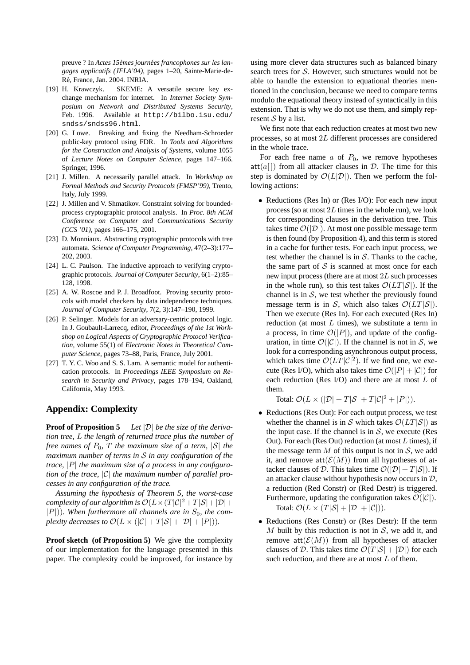preuve ? In *Actes 15èmes journées francophones sur les langages applicatifs (JFLA'04)*, pages 1–20, Sainte-Marie-de-Ré, France, Jan. 2004. INRIA.

- [19] H. Krawczyk. SKEME: A versatile secure key exchange mechanism for internet. In *Internet Society Symposium on Network and Distributed Systems Security*, Feb. 1996. Available at http://bilbo.isu.edu/ sndss/sndss96.html.
- [20] G. Lowe. Breaking and fixing the Needham-Schroeder public-key protocol using FDR. In *Tools and Algorithms for the Construction and Analysis of Systems*, volume 1055 of *Lecture Notes on Computer Science*, pages 147–166. Springer, 1996.
- [21] J. Millen. A necessarily parallel attack. In *Workshop on Formal Methods and Security Protocols (FMSP'99)*, Trento, Italy, July 1999.
- [22] J. Millen and V. Shmatikov. Constraint solving for boundedprocess cryptographic protocol analysis. In *Proc. 8th ACM Conference on Computer and Communications Security (CCS '01)*, pages 166–175, 2001.
- [23] D. Monniaux. Abstracting cryptographic protocols with tree automata. *Science of Computer Programming*, 47(2–3):177– 202, 2003.
- [24] L. C. Paulson. The inductive approach to verifying cryptographic protocols. *Journal of Computer Security*, 6(1–2):85– 128, 1998.
- [25] A. W. Roscoe and P. J. Broadfoot. Proving security protocols with model checkers by data independence techniques. *Journal of Computer Security*, 7(2, 3):147–190, 1999.
- [26] P. Selinger. Models for an adversary-centric protocol logic. In J. Goubault-Larrecq, editor, *Proceedings of the 1st Workshop on Logical Aspects of Cryptographic Protocol Verification*, volume 55(1) of *Electronic Notes in Theoretical Computer Science*, pages 73–88, Paris, France, July 2001.
- [27] T. Y. C. Woo and S. S. Lam. A semantic model for authentication protocols. In *Proceedings IEEE Symposium on Research in Security and Privacy*, pages 178–194, Oakland, California, May 1993.

# **Appendix: Complexity**

**Proof of Proposition 5** *Let* |D| *be the size of the derivation tree,* L *the length of returned trace plus the number of free names of*  $P_0$ ,  $T$  *the maximum size of a term,*  $|S|$  *the maximum number of terms in* S *in any configuration of the trace,* |P| *the maximum size of a process in any configuration of the trace,* |C| *the maximum number of parallel processes in any configuration of the trace.*

*Assuming the hypothesis of Theorem 5, the worst-case complexity of our algorithm is*  $\mathcal{O}(L \times (T|\mathcal{C}|^2 + T|\mathcal{S}| + |\mathcal{D}| +$  $|P|$ )). When furthermore all channels are in  $S_0$ , the com*plexity decreases to*  $\mathcal{O}(L \times (|\mathcal{C}| + T|\mathcal{S}| + |\mathcal{D}| + |P|)).$ 

**Proof sketch (of Proposition 5)** We give the complexity of our implementation for the language presented in this paper. The complexity could be improved, for instance by

using more clever data structures such as balanced binary search trees for S. However, such structures would not be able to handle the extension to equational theories mentioned in the conclusion, because we need to compare terms modulo the equational theory instead of syntactically in this extension. That is why we do not use them, and simply represent  $S$  by a list.

We first note that each reduction creates at most two new processes, so at most 2L different processes are considered in the whole trace.

For each free name  $a$  of  $P_0$ , we remove hypotheses  $att(a[])$  from all attacker clauses in  $D$ . The time for this step is dominated by  $\mathcal{O}(L|\mathcal{D}|)$ . Then we perform the following actions:

• Reductions (Res In) or (Res I/O): For each new input process (so at most  $2L$  times in the whole run), we look for corresponding clauses in the derivation tree. This takes time  $\mathcal{O}(|\mathcal{D}|)$ . At most one possible message term is then found (by Proposition 4), and this term is stored in a cache for further tests. For each input process, we test whether the channel is in  $S$ . Thanks to the cache, the same part of  $S$  is scanned at most once for each new input process (there are at most 2L such processes in the whole run), so this test takes  $\mathcal{O}(LT|\mathcal{S}|)$ . If the channel is in  $S$ , we test whether the previously found message term is in S, which also takes  $\mathcal{O}(LT|\mathcal{S}|)$ . Then we execute (Res In). For each executed (Res In) reduction (at most  $L$  times), we substitute a term in a process, in time  $\mathcal{O}(|P|)$ , and update of the configuration, in time  $\mathcal{O}(|\mathcal{C}|)$ . If the channel is not in S, we look for a corresponding asynchronous output process, which takes time  $\mathcal{O}(LT|\mathcal{C}|^2)$ . If we find one, we execute (Res I/O), which also takes time  $\mathcal{O}(|P| + |\mathcal{C}|)$  for each reduction (Res I/O) and there are at most  $L$  of them.

Total:  $\mathcal{O}(L \times (|\mathcal{D}| + T|\mathcal{S}| + T|\mathcal{C}|^2 + |P|)).$ 

- Reductions (Res Out): For each output process, we test whether the channel is in S which takes  $\mathcal{O}(LT|\mathcal{S}|)$  as the input case. If the channel is in  $S$ , we execute (Res Out). For each (Res Out) reduction (at most  $L$  times), if the message term  $M$  of this output is not in  $S$ , we add it, and remove  $\text{att}(\mathcal{E}(M))$  from all hypotheses of attacker clauses of D. This takes time  $\mathcal{O}(|\mathcal{D}| + T|\mathcal{S}|)$ . If an attacker clause without hypothesis now occurs in  $\mathcal{D}$ , a reduction (Red Constr) or (Red Destr) is triggered. Furthermore, updating the configuration takes  $\mathcal{O}(|\mathcal{C}|)$ . Total:  $\mathcal{O}(L \times (T|\mathcal{S}| + |\mathcal{D}| + |\mathcal{C}|)).$
- Reductions (Res Constr) or (Res Destr): If the term M built by this reduction is not in  $S$ , we add it, and remove att $(\mathcal{E}(M))$  from all hypotheses of attacker clauses of D. This takes time  $\mathcal{O}(T|\mathcal{S}| + |\mathcal{D}|)$  for each such reduction, and there are at most  $L$  of them.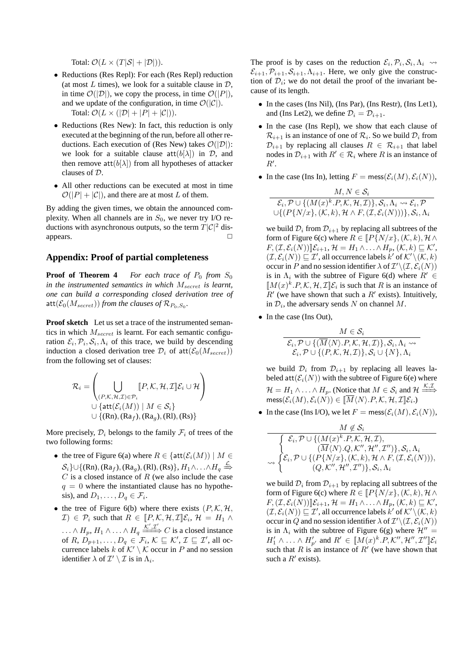Total:  $\mathcal{O}(L \times (T|\mathcal{S}| + |\mathcal{D}|)).$ 

- Reductions (Res Repl): For each (Res Repl) reduction (at most L times), we look for a suitable clause in  $\mathcal{D}$ , in time  $\mathcal{O}(|\mathcal{D}|)$ , we copy the process, in time  $\mathcal{O}(|P|)$ , and we update of the configuration, in time  $\mathcal{O}(|\mathcal{C}|)$ . Total:  $\mathcal{O}(L \times (|\mathcal{D}| + |P| + |\mathcal{C}|)).$
- Reductions (Res New): In fact, this reduction is only executed at the beginning of the run, before all other reductions. Each execution of (Res New) takes  $\mathcal{O}(|\mathcal{D}|)$ : we look for a suitable clause  $att(b[\lambda])$  in  $D$ , and then remove  $\text{att}(b[\lambda])$  from all hypotheses of attacker clauses of D.
- All other reductions can be executed at most in time  $\mathcal{O}(|P| + |\mathcal{C}|)$ , and there are at most L of them.

By adding the given times, we obtain the announced complexity. When all channels are in  $S_0$ , we never try I/O reductions with asynchronous outputs, so the term  $T|\mathcal{C}|^2$  disappears.  $\Box$ 

## **Appendix: Proof of partial completeness**

**Proof of Theorem 4** *For each trace of*  $P_0$  *from*  $S_0$ *in the instrumented semantics in which*  $M_{secret}$  *is learnt, one can build a corresponding closed derivation tree of*  $\mathsf{att}(\mathcal{E}_0(M_{secret}))$  *from the clauses of*  $\mathcal{R}_{P_0, S_0}$ *.* 

**Proof sketch** Let us set a trace of the instrumented semantics in which  $M_{secret}$  is learnt. For each semantic configuration  $\mathcal{E}_i$ ,  $\mathcal{P}_i$ ,  $\mathcal{S}_i$ ,  $\Lambda_i$  of this trace, we build by descending induction a closed derivation tree  $\mathcal{D}_i$  of  $\text{att}(\mathcal{E}_0(M_{secret}))$ from the following set of clauses:

$$
\mathcal{R}_i = \left( \bigcup_{\substack{(P,\mathcal{K},\mathcal{H},\mathcal{I}) \in \mathcal{P}_i \\ \bigcup \{ \text{att}(\mathcal{E}_i(M)) \mid M \in \mathcal{S}_i \} \\ \bigcup \{ (\text{Rn}), (\text{Ra}_f), (\text{Ra}_g), (\text{Rl}), (\text{Rs}) \} } \right)
$$

More precisely,  $\mathcal{D}_i$  belongs to the family  $\mathcal{F}_i$  of trees of the two following forms:

- the tree of Figure 6(a) where  $R \in \{ \text{att}(\mathcal{E}_i(M)) \mid M \in$  $\mathcal{S}_i$ }∪{(Rn), (Ra<sub>f</sub>), (Ra<sub>g</sub>), (Rl), (Rs)},  $H_1 \wedge \ldots \wedge H_q \stackrel{\mathcal{L}}{\Rightarrow}$  $C$  is a closed instance of  $R$  (we also include the case  $q = 0$  where the instantiated clause has no hypothesis), and  $D_1, \ldots, D_q \in \mathcal{F}_i$ .
- the tree of Figure 6(b) where there exists  $(P, K, H)$ ,  $\mathcal{I}(\mathcal{I}) \in \mathcal{P}_i$  such that  $R \in [P, K, \mathcal{H}, \mathcal{I}] \mathcal{E}_i$ ,  $\mathcal{H} = H_1 \wedge$  $\ldots \wedge H_p, H_1 \wedge \ldots \wedge H_q \xrightarrow{\overline{K'}, \overline{\mathcal{I}'}} C$  is a closed instance of R,  $D_{p+1}, \ldots, D_q \in \mathcal{F}_i$ ,  $\mathcal{K} \sqsubseteq \mathcal{K}'$ ,  $\mathcal{I} \sqsubseteq \mathcal{I}'$ , all occurrence labels k of  $K' \setminus K$  occur in P and no session identifier  $\lambda$  of  $\mathcal{I}' \setminus \mathcal{I}$  is in  $\Lambda_i$ .

The proof is by cases on the reduction  $\mathcal{E}_i$ ,  $\mathcal{P}_i$ ,  $\mathcal{S}_i$ ,  $\Lambda_i \rightarrow$  $\mathcal{E}_{i+1}, \mathcal{P}_{i+1}, \mathcal{S}_{i+1}, \Lambda_{i+1}$ . Here, we only give the construction of  $\mathcal{D}_i$ ; we do not detail the proof of the invariant because of its length.

- In the cases (Ins Nil), (Ins Par), (Ins Restr), (Ins Let1), and (Ins Let2), we define  $\mathcal{D}_i = \mathcal{D}_{i+1}$ .
- In the case (Ins Repl), we show that each clause of  $\mathcal{R}_{i+1}$  is an instance of one of  $\mathcal{R}_i$ . So we build  $\mathcal{D}_i$  from  $\mathcal{D}_{i+1}$  by replacing all clauses  $R \in \mathcal{R}_{i+1}$  that label nodes in  $\mathcal{D}_{i+1}$  with  $R' \in \mathcal{R}_i$  where R is an instance of  $R^{\prime}$ .
- In the case (Ins In), letting  $F = \text{mess}(\mathcal{E}_i(M), \mathcal{E}_i(N)),$

$$
M, N \in \mathcal{S}_i
$$
  

$$
\mathcal{E}_i, \mathcal{P} \cup \{ (M(x)^k, P, \mathcal{K}, \mathcal{H}, \mathcal{I}) \}, \mathcal{S}_i, \Lambda_i \leadsto \mathcal{E}_i, \mathcal{P}
$$
  

$$
\cup \{ (P\{N/x\}, (\mathcal{K}, k), \mathcal{H} \land F, (\mathcal{I}, \mathcal{E}_i(N))) \}, \mathcal{S}_i, \Lambda_i
$$

we build  $\mathcal{D}_i$  from  $\mathcal{D}_{i+1}$  by replacing all subtrees of the form of Figure 6(c) where  $R \in [P\{N/x\},(\mathcal{K},k), \mathcal{H} \wedge$  $F_{i}(\mathcal{I}, \mathcal{E}_{i}(N))] \mathcal{E}_{i+1}, \mathcal{H} = H_1 \wedge \ldots \wedge H_p, (\mathcal{K}, k) \sqsubseteq \mathcal{K}',$  $(\mathcal{I}, \mathcal{E}_i(N)) \sqsubseteq \mathcal{I}'$ , all occurrence labels  $k'$  of  $\mathcal{K}' \setminus (\mathcal{K}, k)$ occur in  $P$  and no session identifier  $\lambda$  of  $\mathcal{I}'\backslash(\mathcal{I}, \mathcal{E}_i(N))$ is in  $\Lambda_i$  with the subtree of Figure 6(d) where  $R' \in$  $\llbracket M(x)^k \cdot P, \mathcal{K}, \mathcal{H}, \mathcal{I} \rrbracket \mathcal{E}_i$  is such that R is an instance of  $\overline{R}$ ' (we have shown that such a  $R$ ' exists). Intuitively, in  $\mathcal{D}_i$ , the adversary sends N on channel M.

• In the case (Ins Out),

$$
M \in \mathcal{S}_i
$$
  

$$
\mathcal{E}_i, \mathcal{P} \cup \{(\overline{M}\langle N \rangle.P, \mathcal{K}, \mathcal{H}, \mathcal{I})\}, \mathcal{S}_i, \Lambda_i \rightsquigarrow
$$
  

$$
\mathcal{E}_i, \mathcal{P} \cup \{(\mathcal{P}, \mathcal{K}, \mathcal{H}, \mathcal{I})\}, \mathcal{S}_i \cup \{N\}, \Lambda_i
$$

we build  $\mathcal{D}_i$  from  $\mathcal{D}_{i+1}$  by replacing all leaves labeled  $\text{att}(\mathcal{E}_i(N))$  with the subtree of Figure 6(e) where  $\mathcal{H} = H_1 \wedge \ldots \wedge H_p$ . (Notice that  $M \in \mathcal{S}_i$  and  $\mathcal{H} \stackrel{\mathcal{K}, \mathcal{I}}{\Longrightarrow}$  $\mathsf{mess}(\mathcal{E}_i(M), \mathcal{E}_i(\dot{N})) \in \llbracket \overline{M}\langle N \rangle.P, \mathcal{K}, \mathcal{H}, \mathcal{I} \rrbracket \mathcal{E}_i.)$ 

• In the case (Ins I/O), we let  $F = \text{mess}(\mathcal{E}_i(M), \mathcal{E}_i(N)),$ 

$$
\frac{M \notin \mathcal{S}_i}{\begin{cases} \mathcal{E}_i, \mathcal{P} \cup \{ (M(x)^k.P, \mathcal{K}, \mathcal{H}, \mathcal{I}), \\qquad \qquad (\overline{M}\langle N \rangle . Q, \mathcal{K}'', \mathcal{H}'', \mathcal{I}'') \}, \mathcal{S}_i, \Lambda_i \\ \sim \begin{cases} \mathcal{E}_i, \mathcal{P} \cup \{ (P\{N/x\}, (\mathcal{K}, k), \mathcal{H} \wedge F, (\mathcal{I}, \mathcal{E}_i(N))), \\ (Q, \mathcal{K}'', \mathcal{H}'', \mathcal{I}'') \}, \mathcal{S}_i, \Lambda_i \end{cases}} \end{cases}
$$

we build  $\mathcal{D}_i$  from  $\mathcal{D}_{i+1}$  by replacing all subtrees of the form of Figure 6(c) where  $R \in [P\{N/x\},(\mathcal{K},k), \mathcal{H}\wedge$  $F_{i}(\mathcal{I}, \mathcal{E}_{i}(N))] \mathcal{E}_{i+1}, \mathcal{H} = H_1 \wedge \ldots \wedge H_p, (\mathcal{K}, k) \sqsubseteq \mathcal{K}',$  $(\mathcal{I}, \mathcal{E}_i(N)) \sqsubseteq \mathcal{I}'$ , all occurrence labels  $k'$  of  $\mathcal{K}' \setminus (\mathcal{K}, k)$ occur in  $Q$  and no session identifier  $\lambda$  of  $\mathcal{I}'\backslash(\mathcal{I},\mathcal{E}_i(N))$ is in  $\Lambda_i$  with the subtree of Figure 6(g) where  $\mathcal{H}'' =$  $H'_1 \wedge \ldots \wedge H'_{p'}$  and  $R' \in [M(x)^k \cdot P, \mathcal{K}'', \mathcal{H}'', \mathcal{I}''] \mathcal{E}_i$ such that R is an instance of  $R'$  (we have shown that such a  $R'$  exists).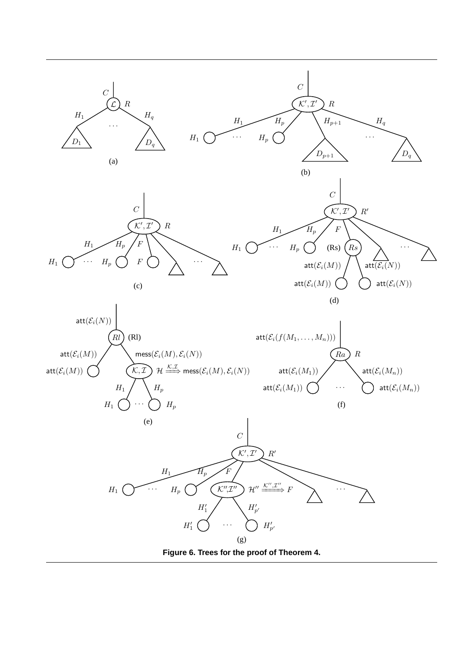